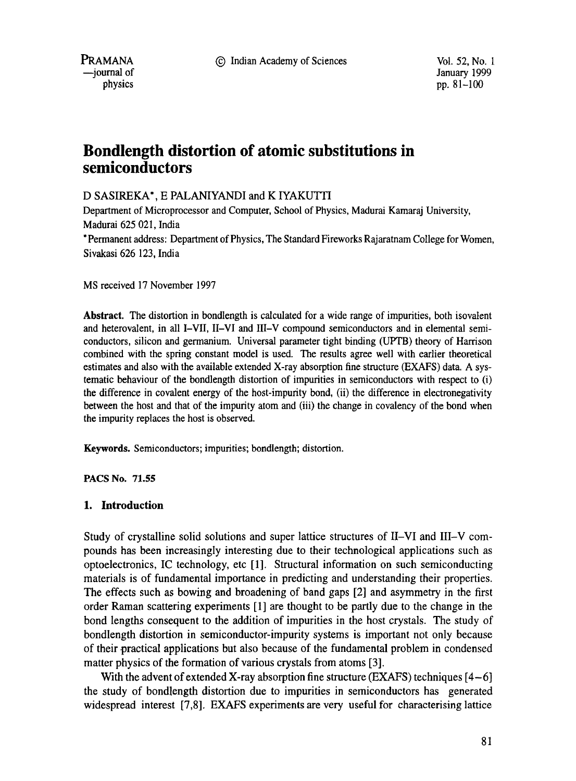PRAMANA 9 Indian Academy of Sciences Vol. 52, No. 1



ordination of the United States of the United States of January 1999<br>1999 obvsies the United States of the United States of the United States of the United States of the United St pp.  $81-100$ 

# **Bondlength distortion of atomic substitutions in semiconductors**

## D SASIREKA\*, E PALANIYANDI and K IYAKUTTI

Department of Microprocessor and Computer, School of Physics, Madurai Kamaraj University, Madurai 625 021, India

\* Permanent address: Department of Physics, The Standard Fireworks Rajaratnam College for Women, Sivakasi 626 123, India

MS received 17 November 1997

**Abstract.** The distortion in bondlength is calculated for a wide range of impurities, both isovalent and heterovalent, in all I-VII, II-VI and III-V compound semiconductors and in elemental semiconductors, silicon and germanium. Universal parameter tight binding (UPTB) theory of Harrison combined with the spring constant model is used. The results agree well with earlier theoretical estimates and also with the available extended X-ray absorption fine structure (EXAFS) data. A systematic behaviour of the bondlength distortion of impurities in semiconductors with respect to (i) the difference in covalent energy of the host-impurity bond, (ii) the difference in electronegativity between the host and that of the impurity atom and (iii) the change in covalency of the bond when the impurity replaces the host is observed.

**Keywords.** Semiconductors; impurities; bondlength; distortion.

**PACS** No. 71.55

#### **1. Introduction**

Study of crystalline solid solutions and super lattice structures of II-VI and III-V compounds has been increasingly interesting due to their technological applications such as optoelectronics, IC technology, etc [1]. Structural information on such semiconducting materials is of fundamental importance in predicting and understanding their properties. The effects such as bowing and broadening of band gaps [2] and asymmetry in the first order Raman scattering experiments [1] are thought to be partly due to the change in the bond lengths consequent to the addition of impurities in the host crystals. The study of bondlength distortion in semiconductor-impurity systems is important not only because of their practical applications but also because of the fundamental problem in condensed matter physics of the formation of various crystals from atoms [3].

With the advent of extended X-ray absorption fine structure (EXAFS) techniques  $[4-6]$ the study of bond!ength distortion due to impurities in semiconductors has generated widespread interest [7,8]. EXAFS experiments are very useful for characterising lattice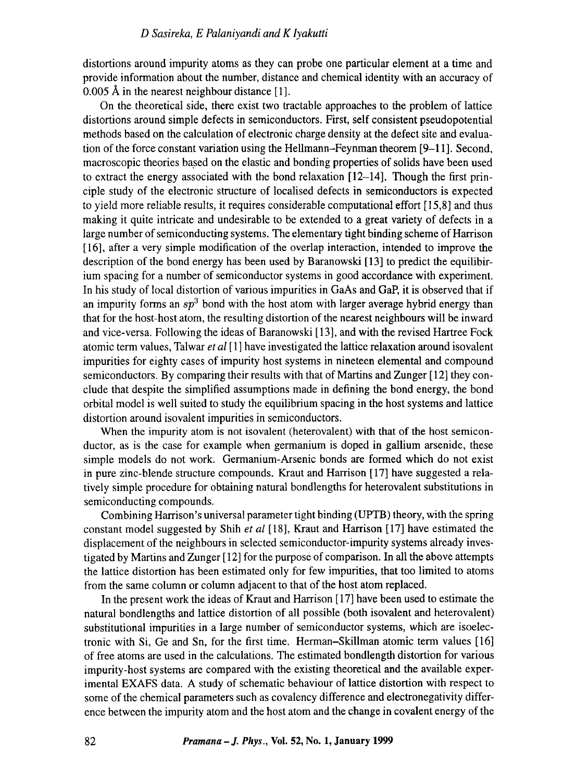distortions around impurity atoms as they can probe one particular element at a time and provide information about the number, distance and chemical identity with an accuracy of 0.005 A in the nearest neighbour distance [1].

On the theoretical side, there exist two tractable approaches to the problem of lattice distortions around simple defects in semiconductors. First, self consistent pseudopotential methods based on the calculation of electronic charge density at the defect site and evaluation of the force constant variation using the Hellmann-Feynman theorem [9-11]. Second, macroscopic theories based on the elastic and bonding properties of solids have been used to extract the energy associated with the bond relaxation [12-14]. Though the first principle study of the electronic structure of localised defects in semiconductors is expected to yield more reliable results, it requires considerable computational effort [ 15,8] and thus making it quite intricate and undesirable to be extended to a great variety of defects in a large number of semiconducting systems. The elementary tight binding scheme of Harrison [16], after a very simple modification of the overlap interaction, intended to improve the description of the bond energy has been used by Baranowski [13] to predict the equilibirium spacing for a number of semiconductor systems in good accordance with experiment. In his study of local distortion of various impurities in GaAs and GaP, it is observed that if an impurity forms an  $sp^3$  bond with the host atom with larger average hybrid energy than that for the host-host atom, the resulting distortion of the nearest neighbours will be inward and vice-versa. Following the ideas of Baranowski [13], and with the revised Hartree Fock atomic term values, Talwar *et al* [ 1 ] have investigated the lattice relaxation around isovalent impurities for eighty cases of impurity host systems in nineteen elemental and compound semiconductors. By comparing their results with that of Martins and Zunger [ 12] they conclude that despite the simplified assumptions made in defining the bond energy, the bond orbital model is well suited to study the equilibrium spacing in the host systems and lattice distortion around isovalent impurities in semiconductors.

When the impurity atom is not isovalent (heterovalent) with that of the host semiconductor, as is the case for example when germanium is doped in gallium arsenide, these simple models do not work. Germanium-Arsenic bonds are formed which do not exist in pure zinc-blende structure compounds. Kraut and Harrison [17] have suggested a relatively simple procedure for obtaining natural bondlengths for heterovalent substitutions in semiconducting compounds.

Combining Harrison's universal parameter tight binding (UPTB) theory, with the spring constant model suggested by Shih *et al* [18], Kraut and Harrison [17] have estimated the displacement of the neighbours in selected semiconductor-impurity systems already investigated by Martins and Zunger [ 12] for the purpose of comparison. In all the above attempts the lattice distortion has been estimated only for few impurities, that too limited to atoms from the same column or column adjacent to that of the host atom replaced.

In the present work the ideas of Kraut and Harrison [17] have been used to estimate the natural bondlengths and lattice distortion of all possible (both isovalent and heterovalent) substitutional impurities in a large number of semiconductor systems, which are isoelectronic with Si, Ge and Sn, for the first time. Herman-Skillman atomic term values [16] of free atoms are used in the calculations. The estimated bondlength distortion for various impurity-host systems are compared with the existing theoretical and the available experimental EXAFS data. A study of schematic behaviour of lattice distortion with respect to some of the chemical parameters such as covalency difference and electronegativity difference between the impurity atom and the host atom and the change in covalent energy of the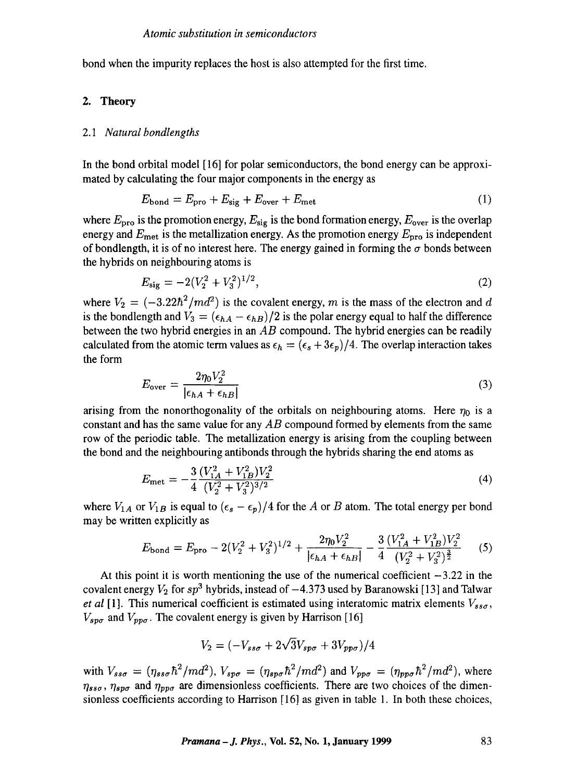bond when the impurity replaces the host is also attempted for the first time.

#### 2. Theory

#### 2.1 *Natural bondlengths*

In the bond orbital model [16] for polar semiconductors, the bond energy can be approximated by calculating the four major components in the energy as

$$
E_{\text{bond}} = E_{\text{pro}} + E_{\text{sig}} + E_{\text{over}} + E_{\text{met}} \tag{1}
$$

where  $E_{\text{pro}}$  is the promotion energy,  $E_{\text{sig}}$  is the bond formation energy,  $E_{\text{over}}$  is the overlap energy and  $E_{\text{met}}$  is the metallization energy. As the promotion energy  $E_{\text{pro}}$  is independent of bondlength, it is of no interest here. The energy gained in forming the  $\sigma$  bonds between the hybrids on neighbouring atoms is

$$
E_{\text{sig}} = -2(V_2^2 + V_3^2)^{1/2},\tag{2}
$$

where  $V_2 = (-3.22\hbar^2/md^2)$  is the covalent energy, m is the mass of the electron and d is the bondlength and  $V_3 = (\epsilon_{hA} - \epsilon_{hB})/2$  is the polar energy equal to half the difference between the two hybrid energies in an *AB* compound. The hybrid energies can be readily calculated from the atomic term values as  $\epsilon_h = (\epsilon_s + 3\epsilon_p)/4$ . The overlap interaction takes the form

$$
E_{\text{over}} = \frac{2\eta_0 V_2^2}{|\epsilon_{hA} + \epsilon_{hB}|} \tag{3}
$$

arising from the nonorthogonality of the orbitals on neighbouring atoms. Here  $\eta_0$  is a constant and has the same value for any *AB* compound formed by elements from the same row of the periodic table. The metallization energy is arising from the coupling between the bond and the neighbouring antibonds through the hybrids sharing the end atoms as

$$
E_{\rm met} = -\frac{3}{4} \frac{(V_{1A}^2 + V_{1B}^2)V_2^2}{(V_2^2 + V_3^2)^{3/2}}
$$
\n(4)

where  $V_{1A}$  or  $V_{1B}$  is equal to  $(\epsilon_s - \epsilon_p)/4$  for the A or B atom. The total energy per bond may be written explicitly as

$$
E_{\text{bond}} = E_{\text{pro}} - 2(V_2^2 + V_3^2)^{1/2} + \frac{2\eta_0 V_2^2}{|\epsilon_{hA} + \epsilon_{hB}|} - \frac{3}{4} \frac{(V_{1A}^2 + V_{1B}^2)V_2^2}{(V_2^2 + V_3^2)^{\frac{3}{2}}} \tag{5}
$$

At this point it is worth mentioning the use of the numerical coefficient  $-3.22$  in the covalent energy  $V_2$  for  $sp^3$  hybrids, instead of  $-4.373$  used by Baranowski [13] and Talwar *et al* [1]. This numerical coefficient is estimated using interatomic matrix elements  $V_{ss\sigma}$ ,  $V_{spo}$  and  $V_{pp\sigma}$ . The covalent energy is given by Harrison [16]

$$
V_2 = (-V_{ss\sigma} + 2\sqrt{3}V_{sp\sigma} + 3V_{pp\sigma})/4
$$

with  $V_{ss\sigma} = (\eta_{ss\sigma} \hbar^2/md^2)$ ,  $V_{sp\sigma} = (\eta_{sp\sigma} \hbar^2/md^2)$  and  $V_{pp\sigma} = (\eta_{pp\sigma} \hbar^2/md^2)$ , where  $\eta_{ss\sigma}$ ,  $\eta_{sp\sigma}$  and  $\eta_{pp\sigma}$  are dimensionless coefficients. There are two choices of the dimensionless coefficients according to Harrison [16] as given in table 1. In both these choices,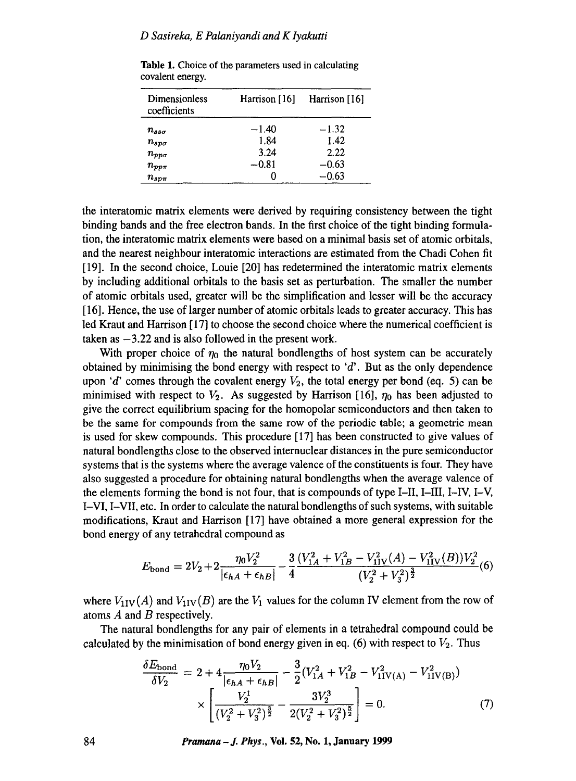| Dimensionless<br>coefficients | Harrison [16] | Harrison [16] |
|-------------------------------|---------------|---------------|
| $n_{ss\sigma}$                | $-1.40$       | $-1.32$       |
| $n_{sp\sigma}$                | 1.84          | 1.42          |
| $n_{pp\sigma}$                | 3.24          | 2.22          |
| $n_{pp\pi}$                   | $-0.81$       | $-0.63$       |
| $n_{spr}$                     |               | $-0.63$       |

**Table** 1. Choice of the parameters used in calculating covalent energy.

the interatomic matrix elements were derived by requiring consistency between the tight binding bands and the free electron bands. In the first choice of the tight binding formulation, the interatomic matrix elements were based on a minimal basis set of atomic orbitals, and the nearest neighbour interatomic interactions are estimated from the Chadi Cohen fit [19]. In the second choice, Louie [20] has redetermined the interatomic matrix elements by including additional orbitais to the basis set as perturbation. The smaller the number of atomic orbitals used, greater will be the simplification and lesser will be the accuracy [16]. Hence, the use of larger number of atomic orbitals leads to greater accuracy. This has led Kraut and Harrison [17] to choose the second choice where the numerical coefficient is taken as  $-3.22$  and is also followed in the present work.

With proper choice of  $\eta_0$  the natural bondlengths of host system can be accurately obtained by minimising the bond energy with respect to  $d'$ . But as the only dependence upon 'd' comes through the covalent energy  $V_2$ , the total energy per bond (eq. 5) can be minimised with respect to  $V_2$ . As suggested by Harrison [16],  $\eta_0$  has been adjusted to give the correct equilibrium spacing for the homopolar semiconductors and then taken to be the same for compounds from the same row of the periodic table; a geometric mean is used for skew compounds. This procedure [17] has been constructed to give values of natural bondlengths close to the observed internuclear distances in the pure semiconductor systems that is the systems where the average valence of the constituents is four. They have also suggested a procedure for obtaining natural bondlengths when the average valence of the elements forming the bond is not four, that is compounds of type I-II, I-III, I-IV, I-V, I-VI, I-VII, etc. In order to calculate the natural bondlengths of such systems, with suitable modifications, Kraut and Harrison [17] have obtained a more general expression for the bond energy of any tetrahedral compound as

$$
E_{\text{bond}} = 2V_2 + 2 \frac{\eta_0 V_2^2}{|\epsilon_{hA} + \epsilon_{hB}|} - \frac{3}{4} \frac{(V_{1A}^2 + V_{1B}^2 - V_{1IV}^2(A) - V_{1IV}^2(B))V_2^2}{(V_2^2 + V_3^2)^{\frac{3}{2}}} (6)
$$

where  $V_{\text{1IV}}(A)$  and  $V_{\text{1IV}}(B)$  are the  $V_1$  values for the column IV element from the row of atoms  $A$  and  $B$  respectively.

The natural bondlengths for any pair of elements in a tetrahedral compound could be calculated by the minimisation of bond energy given in eq. (6) with respect to  $V_2$ . Thus

$$
\frac{\delta E_{\text{bond}}}{\delta V_2} = 2 + 4 \frac{\eta_0 V_2}{|\epsilon_{hA} + \epsilon_{hB}|} - \frac{3}{2} (V_{1A}^2 + V_{1B}^2 - V_{1IV(A)}^2 - V_{1IV(B)}^2)
$$

$$
\times \left[ \frac{V_2^1}{(V_2^2 + V_3^2)^{\frac{3}{2}}} - \frac{3V_2^3}{2(V_2^2 + V_3^2)^{\frac{5}{2}}} \right] = 0. \tag{7}
$$

**84** *Pramana -J. Phys.,* **Vol. 52, No. 1, January 1999**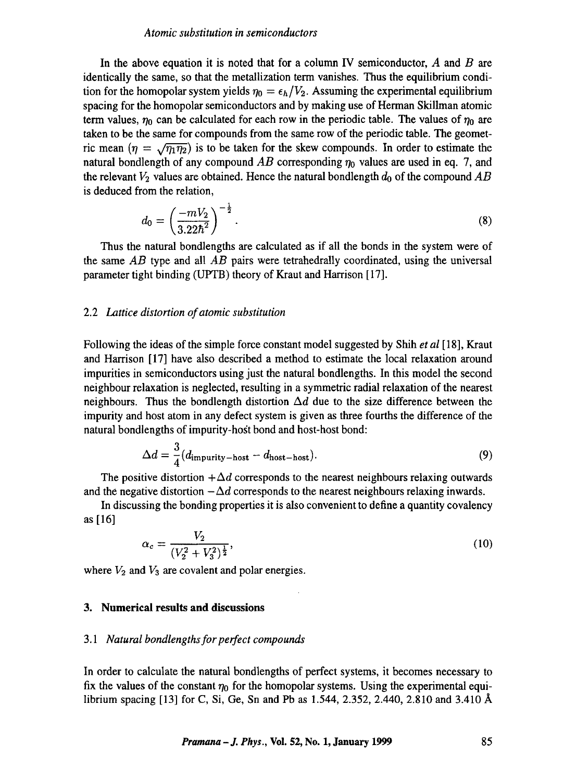#### *Atomic substitution in semiconductors*

In the above equation it is noted that for a column IV semiconductor,  $A$  and  $B$  are identically the same, so that the metallization term vanishes. Thus the equilibrium condition for the homopolar system yields  $\eta_0 = \epsilon_h/V_2$ . Assuming the experimental equilibrium spacing for the homopolar semiconductors and by making use of Herman Skillman atomic term values,  $\eta_0$  can be calculated for each row in the periodic table. The values of  $\eta_0$  are taken to be the same for compounds from the same row of the periodic table. The geometric mean  $(\eta = \sqrt{\eta_1 \eta_2})$  is to be taken for the skew compounds. In order to estimate the natural bondlength of any compound  $AB$  corresponding  $\eta_0$  values are used in eq. 7, and the relevant  $V_2$  values are obtained. Hence the natural bondlength  $d_0$  of the compound  $AB$ is deduced from the relation,

$$
d_0 = \left(\frac{-mV_2}{3.22\hbar^2}\right)^{-\frac{1}{2}}.\tag{8}
$$

Thus the natural bondlengths are calculated as if all the bonds in the system were of the same *AB* type and all *AB* pairs were tetrahedrally coordinated, using the universal parameter tight binding (UPTB) theory of Kraut and Harrison [17].

#### 2.2 *Lattice distortion of atomic substitution*

Following the ideas of the simple force constant model suggested by Shih *et al* [ 18], Kraut and Harrison [17] have also described a method to estimate the local relaxation around impurities in semiconductors using just the natural bondlengths. In this model the second neighbour relaxation is neglected, resulting in a symmetric radial relaxation of the nearest neighbours. Thus the bondlength distortion  $\Delta d$  due to the size difference between the impurity and host atom in any defect system is given as three fourths the difference of the natural bondlengths of impurity-host bond and host-host bond:

$$
\Delta d = \frac{3}{4} (d_{\text{impurity}-\text{host}} - d_{\text{host}-\text{host}}). \tag{9}
$$

The positive distortion  $+\Delta d$  corresponds to the nearest neighbours relaxing outwards and the negative distortion  $-\Delta d$  corresponds to the nearest neighbours relaxing inwards.

In discussing the bonding properties it is also convenient to define a quantity covalency as [16]

$$
\alpha_c = \frac{V_2}{(V_2^2 + V_3^2)^{\frac{1}{2}}},\tag{10}
$$

where  $V_2$  and  $V_3$  are covalent and polar energies.

#### **3. Numerical results and discussions**

#### *3.1 Natural bondlengths for perfect compounds*

In order to calculate the natural bondlengths of perfect systems, it becomes necessary to fix the values of the constant  $\eta_0$  for the homopolar systems. Using the experimental equilibrium spacing [13] for C, Si, Ge, Sn and Pb as 1.544, 2.352, 2.440, 2.810 and 3.410 A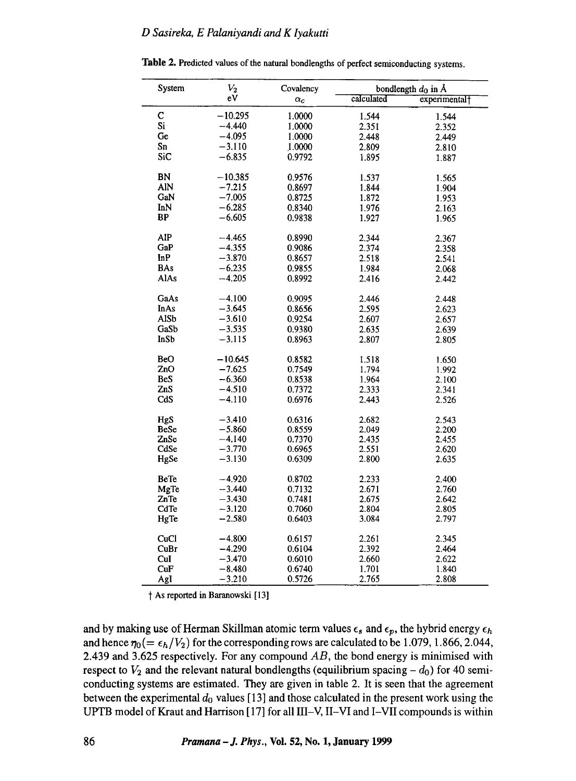| System      | $\scriptstyle V_2$ | Covalency  |            | bondlength $d_0$ in Å     |
|-------------|--------------------|------------|------------|---------------------------|
|             | eV                 | $\alpha_c$ | calculated | experimental <sup>+</sup> |
| C           | $-10.295$          | 1.0000     | 1.544      | 1.544                     |
| Si          | $-4.440$           | 1.0000     | 2.351      | 2.352                     |
| Ge          | $-4.095$           | 1.0000     | 2.448      | 2.449                     |
| Sn          | $-3.110$           | 1.0000     | 2.809      | 2.810                     |
| SiC         | $-6.835$           | 0.9792     | 1.895      | 1.887                     |
|             |                    |            |            |                           |
| BN          | $-10.385$          | 0.9576     | 1.537      | 1.565                     |
| AIN         | $-7.215$           | 0.8697     | 1.844      | 1.904                     |
| GaN         | $-7.005$           | 0.8725     | 1.872      | 1.953                     |
| InN         | $-6.285$           | 0.8340     | 1.976      | 2.163                     |
| BP          | $-6.605$           | 0.9838     | 1.927      | 1.965                     |
| AIP         | $-4.465$           | 0.8990     | 2.344      | 2.367                     |
| GaP         | $-4.355$           | 0.9086     | 2.374      |                           |
| InP         | $-3.870$           | 0.8657     | 2.518      | 2.358<br>2.541            |
| <b>BAs</b>  | $-6.235$           | 0.9855     | 1.984      |                           |
| AlAs        | $-4.205$           |            |            | 2.068                     |
|             |                    | 0.8992     | 2.416      | 2.442                     |
| GaAs        | $-4.100$           | 0.9095     | 2.446      | 2.448                     |
| InAs        | $-3.645$           | 0.8656     | 2.595      | 2.623                     |
| <b>AlSb</b> | $-3.610$           | 0.9254     | 2.607      | 2.657                     |
| GaSb        | $-3.535$           | 0.9380     | 2.635      | 2.639                     |
| InSb        | $-3.115$           | 0.8963     | 2.807      | 2.805                     |
|             |                    |            |            |                           |
| BeO         | $-10.645$          | 0.8582     | 1.518      | 1.650                     |
| ZnO         | $-7.625$           | 0.7549     | 1.794      | 1.992                     |
| <b>BeS</b>  | $-6.360$           | 0.8538     | 1.964      | 2.100                     |
| ZnS         | $-4.510$           | 0.7372     | 2.333      | 2.341                     |
| CdS         | $-4.110$           | 0.6976     | 2.443      | 2.526                     |
| HgS         | $-3.410$           | 0.6316     | 2.682      | 2.543                     |
| <b>BeSe</b> | $-5.860$           | 0.8559     | 2.049      | 2.200                     |
| ZnSe        | $-4.140$           | 0.7370     | 2.435      | 2.455                     |
| CdSe        | $-3.770$           | 0.6965     | 2.551      | 2.620                     |
| HgSe        | $-3.130$           | 0.6309     | 2.800      | 2.635                     |
|             |                    |            |            |                           |
| <b>BeTe</b> | $-4.920$           | 0.8702     | 2.233      | 2.400                     |
| MgTe        | $-3.440$           | 0.7132     | 2.671      | 2.760                     |
| ZnTe        | $-3.430$           | 0.7481     | 2.675      | 2.642                     |
| CdTe        | $-3.120$           | 0.7060     | 2.804      | 2.805                     |
| HgTe        | $-2.580$           | 0.6403     | 3.084      | 2.797                     |
| CuCl        | $-4.800$           | 0.6157     | 2.261      | 2.345                     |
| CuBr        | $-4.290$           | 0.6104     | 2.392      | 2.464                     |
| CuI         | -3.470             | 0.6010     | 2.660      | 2.622                     |
| CuF         | -8.480             | 0.6740     | 1.701      | 1.840                     |
|             | $-3.210$           | 0.5726     | 2.765      | 2.808                     |
| AgI         |                    |            |            |                           |

**Table** 2. Predicted values of the natural bondlengths of perfect semiconducting systems.

1 As reported in Baranowski [13]

and by making use of Herman Skillman atomic term values  $\epsilon_s$  and  $\epsilon_p$ , the hybrid energy  $\epsilon_h$ and hence  $\eta_0 (= \epsilon_h/V_2)$  for the corresponding rows are calculated to be 1.079, 1.866, 2.044, 2.439 and 3.625 respectively. For any compound *AB, the* bond energy is minimised with respect to  $V_2$  and the relevant natural bondlengths (equilibrium spacing  $-d_0$ ) for 40 semiconducting systems are estimated. They are given in table 2. It is seen that the agreement between the experimental  $d_0$  values [13] and those calculated in the present work using the UPTB model of Kraut and Harrison [17] for all III-V, II-VI and I-VII compounds is within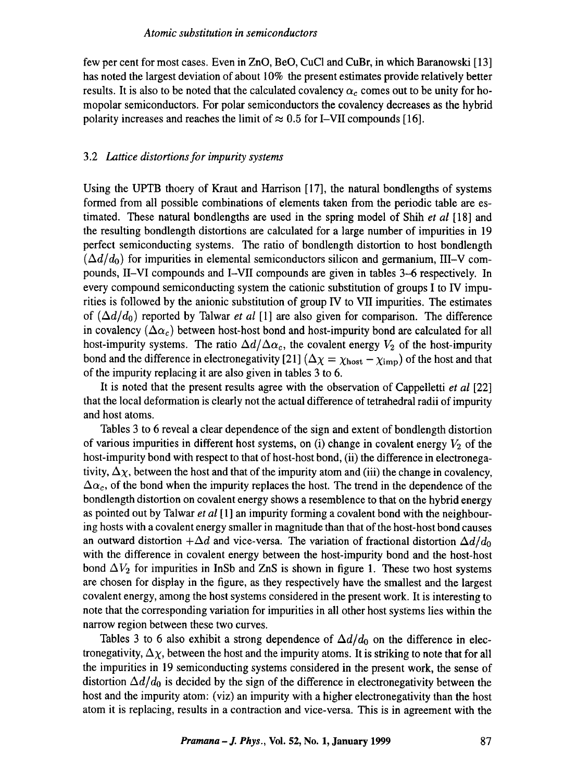few per cent for most cases. Even in ZnO, BeO, CuC1 and CuBr, in which Baranowski [13] has noted the largest deviation of about 10% the present estimates provide relatively better results. It is also to be noted that the calculated covalency  $\alpha_c$  comes out to be unity for homopolar semiconductors. For polar semiconductors the covalency decreases as the hybrid polarity increases and reaches the limit of  $\approx 0.5$  for I–VII compounds [16].

#### *3.2 Lattice distortions for impurity systems*

Using the UPTB thoery of Kraut and Harrison [17], the natural bondlengths of systems formed from all possible combinations of elements taken from the periodic table are estimated. These natural bondlengths are used in the spring model of Shih *et al* [18] and the resulting bondlength distortions are calculated for a large number of impurities in 19 perfect semiconducting systems. The ratio of bondlength distortion to host bondlength  $(\Delta d/d_0)$  for impurities in elemental semiconductors silicon and germanium, III-V compounds, II-VI compounds and I-VII compounds are given in tables 3--6 respectively. In every compound semiconducting system the cationic substitution of groups I to IV impurities is followed by the anionic substitution of group IV to VII impurities. The estimates of  $(\Delta d/d_0)$  reported by Talwar *et al* [1] are also given for comparison. The difference in covalency  $(\Delta \alpha_c)$  between host-host bond and host-impurity bond are calculated for all host-impurity systems. The ratio  $\Delta d/\Delta \alpha_c$ , the covalent energy  $V_2$  of the host-impurity bond and the difference in electronegativity [21] ( $\Delta \chi = \chi_{\text{host}} - \chi_{\text{imp}}$ ) of the host and that of the impurity replacing it are also given in tables 3 to 6.

It is noted that the present results agree with the observation of Cappelletti *et al* [22] that the local deformation is clearly not the actual difference of tetrahedral radii of impurity and host atoms.

Tables 3 to 6 reveal a clear dependence of the sign and extent of bondlength distortion of various impurities in different host systems, on (i) change in covalent energy  $V_2$  of the host-impurity bond with respect to that of host-host bond, (ii) the difference in electronegativity,  $\Delta \chi$ , between the host and that of the impurity atom and (iii) the change in covalency,  $\Delta\alpha_c$ , of the bond when the impurity replaces the host. The trend in the dependence of the bondlength distortion on covalent energy shows a resemblence to that on the hybrid energy as pointed out by Talwar *et al* [1] an impurity forming a covalent bond with the neighbouring hosts with a covalent energy smaller in magnitude than that of the host-host bond causes an outward distortion  $+\Delta d$  and vice-versa. The variation of fractional distortion  $\Delta d/d_0$ with the difference in covalent energy between the host-impurity bond and the host-host bond  $\Delta V_2$  for impurities in InSb and ZnS is shown in figure 1. These two host systems are chosen for display in the figure, as they respectively have the smallest and the largest covalent energy, among the host systems considered in the present work. It is interesting to note that the corresponding variation for impurities in all other host systems lies within the narrow region between these two curves.

Tables 3 to 6 also exhibit a strong dependence of  $\Delta d/d_0$  on the difference in electronegativity,  $\Delta \chi$ , between the host and the impurity atoms. It is striking to note that for all the impurities in 19 semiconducting systems considered in the present work, the sense of distortion  $\Delta d/d_0$  is decided by the sign of the difference in electronegativity between the host and the impurity atom: (viz) an impurity with a higher electronegativity than the host atom it is replacing, results in a contraction and vice-versa. This is in agreement with the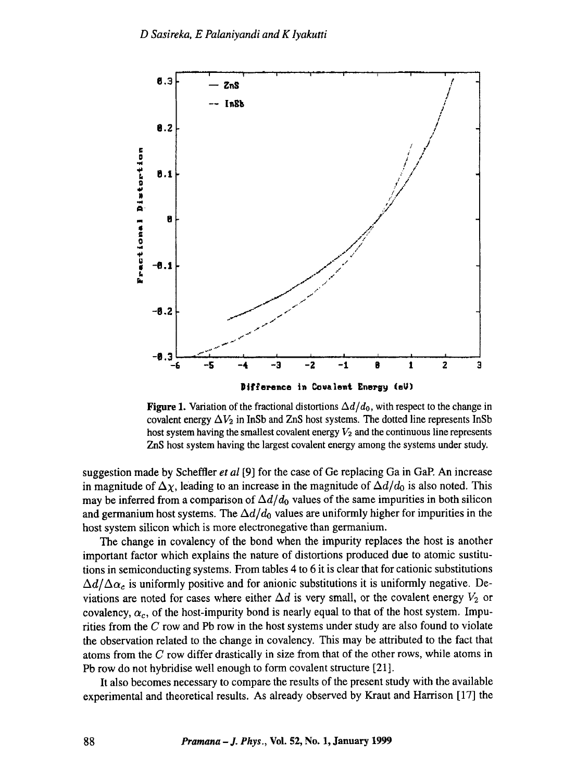

Figure 1. Variation of the fractional distortions  $\Delta d/d_0$ , with respect to the change in covalent energy  $\Delta V_2$  in InSb and ZnS host systems. The dotted line represents InSb host system having the smallest covalent energy  $V_2$  and the continuous line represents ZnS host system having the largest covalent energy among the systems under study.

suggestion made by Scheffler et al [9] for the case of Ge replacing Ga in GaP. An increase in magnitude of  $\Delta \chi$ , leading to an increase in the magnitude of  $\Delta d/d_0$  is also noted. This may be inferred from a comparison of  $\Delta d/d_0$  values of the same impurities in both silicon and germanium host systems. The  $\Delta d/d_0$  values are uniformly higher for impurities in the host system silicon which is more electronegative than germanium.

The change in covalency of the bond when the impurity replaces the host is another important factor which explains the nature of distortions produced due to atomic sustitutions in semiconducting systems. From tables 4 to 6 it is clear that for cationic substitutions  $\Delta d/\Delta \alpha_c$  is uniformly positive and for anionic substitutions it is uniformly negative. Deviations are noted for cases where either  $\Delta d$  is very small, or the covalent energy  $V_2$  or covalency,  $\alpha_c$ , of the host-impurity bond is nearly equal to that of the host system. Impurities from the  $C$  row and Pb row in the host systems under study are also found to violate the observation related to the change in covalency. This may be attributed to the fact that atoms from the  $C$  row differ drastically in size from that of the other rows, while atoms in Pb row do not hybridise well enough to form covalent structure [21].

It also becomes necessary to compare the results of the present study with the available experimental and theoretical results. As already observed by Kraut and Harrison [17] the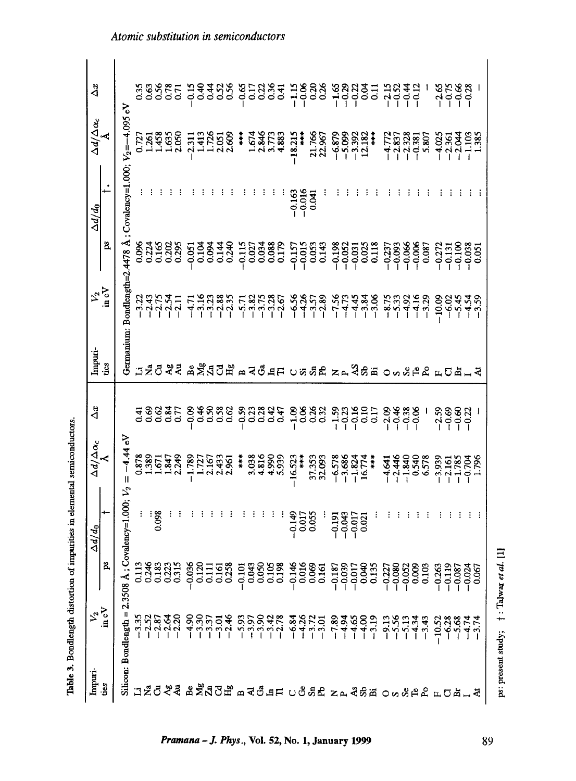| Impuri-                                          | $v_2$<br>in eV                                                                                                                   |                                                                                                                                                                                                                                  | $\Delta d/d_0$                   | $\Delta d/\Delta \alpha_c$                        | $\Delta x$              | Impuri-                |                                |                                                                                        | $\Delta d/d_0$                       |                                              | Àä                               |
|--------------------------------------------------|----------------------------------------------------------------------------------------------------------------------------------|----------------------------------------------------------------------------------------------------------------------------------------------------------------------------------------------------------------------------------|----------------------------------|---------------------------------------------------|-------------------------|------------------------|--------------------------------|----------------------------------------------------------------------------------------|--------------------------------------|----------------------------------------------|----------------------------------|
| ties                                             |                                                                                                                                  | ps                                                                                                                                                                                                                               |                                  |                                                   |                         | ties                   | $v_{\rm a}$<br>in eV           | ps                                                                                     | ÷.                                   | $\Delta d/\Delta \alpha_c$                   |                                  |
|                                                  | Silicon: Bondlength = $2.3508$ Å                                                                                                 |                                                                                                                                                                                                                                  | ; Covalency= $1.000$ ; $V_2$     | $-4.44 eV$<br>$\mathsf{II}$                       |                         |                        | Germanium: Bondlength=2.4478 Å |                                                                                        | : Covalency=1.000; $V_2 = -4.095$ eV |                                              |                                  |
|                                                  |                                                                                                                                  |                                                                                                                                                                                                                                  |                                  | 0.878                                             |                         | Б                      |                                |                                                                                        |                                      |                                              |                                  |
|                                                  |                                                                                                                                  |                                                                                                                                                                                                                                  |                                  | .389                                              | ಕ್ಷಾಂತ್ರದ<br>ಕೃತಿ ರಾಜ್ಯ |                        | 23552<br>23552                 | saraga<br>Saraga                                                                       |                                      |                                              | <b>22222222</b><br>222222        |
|                                                  |                                                                                                                                  |                                                                                                                                                                                                                                  | 0.098                            | <u>ี เอ</u>                                       |                         | ්                      |                                |                                                                                        |                                      | 1.458                                        |                                  |
|                                                  |                                                                                                                                  |                                                                                                                                                                                                                                  |                                  | 1.847<br>2.249                                    |                         | $\mathcal{A}_{g}$<br>튁 | $-2.11$                        |                                                                                        |                                      | 1.635<br>2.050                               |                                  |
|                                                  |                                                                                                                                  |                                                                                                                                                                                                                                  |                                  |                                                   |                         |                        |                                |                                                                                        |                                      |                                              |                                  |
|                                                  |                                                                                                                                  |                                                                                                                                                                                                                                  |                                  | $-1.789$                                          | $-0.09$                 |                        | $-47$                          | 0.051                                                                                  |                                      | $-2.311$                                     | $-0.15$                          |
|                                                  |                                                                                                                                  |                                                                                                                                                                                                                                  |                                  | 2.167<br>1.727                                    | $\frac{46}{0.50}$       | ឹ≿ីส                   |                                | 0.094<br>0.104                                                                         |                                      | 1.726<br>1.413                               | $\frac{4}{5}$<br>$rac{4}{\cdot}$ |
|                                                  |                                                                                                                                  |                                                                                                                                                                                                                                  |                                  | 2.433                                             |                         |                        | 1982<br>1983<br>1994           |                                                                                        |                                      | 2.051                                        |                                  |
|                                                  |                                                                                                                                  |                                                                                                                                                                                                                                  |                                  | 2.961                                             | 38<br>0.62              | ರೆ ಕೆ                  |                                | 0.34                                                                                   |                                      | 2.609                                        | $\frac{52}{0.56}$                |
|                                                  |                                                                                                                                  |                                                                                                                                                                                                                                  |                                  | $\ddot{x}$                                        | $-0.59$                 |                        | $-5.7$                         | $-0.115$                                                                               |                                      | $\ddot{x}$                                   | $-0.6$                           |
|                                                  |                                                                                                                                  |                                                                                                                                                                                                                                  |                                  | 3.038                                             |                         | ২                      |                                | 0.02                                                                                   |                                      | 1.674                                        |                                  |
|                                                  |                                                                                                                                  |                                                                                                                                                                                                                                  |                                  | 4.816                                             | ក្ដុង<br>កូតូកូ         | ්                      |                                |                                                                                        |                                      | 2.846                                        | 533                              |
|                                                  |                                                                                                                                  |                                                                                                                                                                                                                                  |                                  | 4.990<br>5.939                                    | 0.47                    | 5F                     | 25<br>2536<br>2736             | 0.034<br>0.088<br>0.179                                                                |                                      | 4.883                                        | 64                               |
|                                                  |                                                                                                                                  |                                                                                                                                                                                                                                  | $-0.149$                         | $-16.523$                                         |                         |                        |                                |                                                                                        | $-0.163$                             |                                              |                                  |
|                                                  |                                                                                                                                  |                                                                                                                                                                                                                                  |                                  | $\frac{1}{2}$                                     |                         | ひあ                     | $-6.56$<br>$-4.26$             | $-0.157$<br>$-0.015$<br>0.015                                                          | $-0.016$                             | $-18.215$<br>$\frac{1}{2}$                   |                                  |
|                                                  |                                                                                                                                  |                                                                                                                                                                                                                                  | 0.017<br>0.055                   | 37.353<br>32.093                                  | 38882                   | $S_{\rm n}$            | $-3.57$<br>$-2.89$             |                                                                                        | 0.041                                | 21.766<br>22.967                             | 13888                            |
|                                                  |                                                                                                                                  |                                                                                                                                                                                                                                  |                                  |                                                   |                         | ድ                      |                                | 0.143                                                                                  |                                      |                                              |                                  |
| 그렇으싶실 몇 እ 입으므 모스 그는 이유일도 지키 싶은 또 이 아이 더 도 다 먹는 싶 | ה המקור לחומי המקור המקורים המקוריים המקוריים.<br>המקור המקור המקורי המקוריים המקוריים המקוריים<br>המקור המקור המקוריים במקוריים | s a sua desenvolvera de la desenvolvera de la desenvolvera de la desenvolvera de la desenvolvera de la definit<br>Establista de la desenvolvera de la definita de la definita de la definita de la definita de la definita de la | $-0.191$                         | $-6.578$<br>$-3.686$<br>$-1.824$<br>16.774        | 333225                  | ZA                     | $-7.56$                        | $\begin{array}{r} 198 \\ -0.052 \\ -0.031 \\ -0.025 \\ 0.025 \\ -0.118 \\ \end{array}$ |                                      | $-6.879$<br>$-5.992$<br>$-3.392$<br>$12.182$ | sanan<br>Tinggan                 |
|                                                  |                                                                                                                                  |                                                                                                                                                                                                                                  | $-0.017$<br>$-0.017$<br>$-0.021$ |                                                   |                         |                        | $-4.73$                        |                                                                                        |                                      |                                              |                                  |
|                                                  |                                                                                                                                  |                                                                                                                                                                                                                                  |                                  |                                                   |                         | <b>ASE</b>             | $-4,84$<br>$-3,84$<br>$-3,66$  |                                                                                        |                                      |                                              |                                  |
|                                                  |                                                                                                                                  |                                                                                                                                                                                                                                  |                                  | $\frac{1}{2}$                                     |                         |                        |                                |                                                                                        |                                      | į                                            |                                  |
|                                                  |                                                                                                                                  |                                                                                                                                                                                                                                  |                                  |                                                   | 88888<br>2000<br>2001   | $\circ$                | $-8.75$<br>-5.33               | $-0.237$<br>$-0.093$<br>$-0.066$<br>$-0.006$                                           |                                      | $-4.772$<br>$-2.837$<br>$-2.328$             | 10000                            |
|                                                  |                                                                                                                                  |                                                                                                                                                                                                                                  |                                  |                                                   |                         |                        | $-4.92$                        |                                                                                        |                                      |                                              |                                  |
|                                                  |                                                                                                                                  |                                                                                                                                                                                                                                  |                                  |                                                   |                         |                        | $-4.16$                        |                                                                                        |                                      | $-0.381$                                     |                                  |
|                                                  |                                                                                                                                  |                                                                                                                                                                                                                                  |                                  | $-4.44$<br>$-1.840$<br>$-1.840$<br>0.578<br>6.578 |                         | $38P_6$                | $-3.29$                        | 0.087                                                                                  |                                      | 5.807                                        |                                  |
|                                                  |                                                                                                                                  |                                                                                                                                                                                                                                  |                                  | $-3.939$                                          | $-2.59$                 | $\mu$                  | $-10.09$                       | $-0.272$                                                                               |                                      | $-4.025$                                     | $-2.65$                          |
|                                                  | $\begin{array}{c}\n 588 \\  - 198 \\  - 199 \\  - 199\n \end{array}$                                                             |                                                                                                                                                                                                                                  |                                  | $-2.161$<br>$-1.785$<br>$-0.704$                  | 8822<br>0002<br>000     | ℧                      | $-6.02$                        | $-0.131$                                                                               |                                      |                                              | $-0.75$                          |
|                                                  |                                                                                                                                  |                                                                                                                                                                                                                                  |                                  |                                                   |                         |                        | $-5.45$<br>$-4.54$             |                                                                                        |                                      |                                              | $-0.38$                          |
|                                                  |                                                                                                                                  |                                                                                                                                                                                                                                  |                                  | 1.796                                             |                         |                        |                                | $-0.100$<br>$-0.051$<br>$0.051$                                                        |                                      | $-2.361$<br>$-2.044$<br>$-1.103$<br>$1.385$  |                                  |

Table 3. Bondlength distortion of impurities in elemental semiconductors.

ps: present study;  $\uparrow$  : Talwar et al. [1]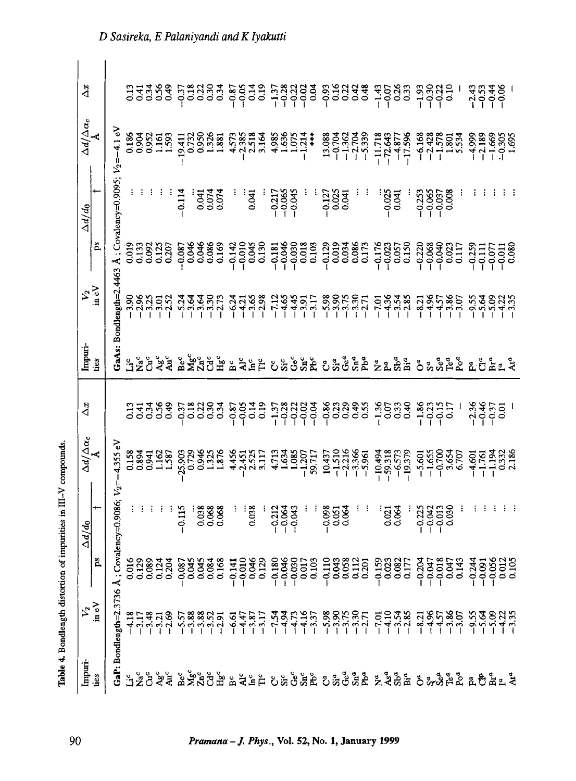| 533 <del>3</del><br>735<br>17,000<br>$\frac{14}{0.15}$<br>538888<br>1999<br>$-143$<br>$-0.33$<br>$-0.33$<br>$\frac{33322}{1111}$<br>$\frac{838}{300}$<br>$-0.87$<br>$\begin{array}{c} 4.048 \\ 4.048 \\ 1.111 \end{array}$<br>0.3 <sup>2</sup><br>$-0.93$<br>$-0.37$<br>$\ddot{\circ}$<br>4.1 eV<br>0.186<br>0.904<br>0.952<br>$\begin{array}{r} 13.088 \\ -0.704 \\ -1.362 \\ -1.362 \\ -2.704 \\ -5.339 \end{array}$<br>4,985<br>$-11.718$<br>$-72.643$<br>$-4.877$<br>$-17.596$<br>$-6.168$<br>$-2.428$<br>$-1.578$<br>$-4.999$<br>1.593<br>2.518<br>$1.075$<br>-1.214<br>1.801<br>1.161<br>19.411<br>0.732<br>1325<br>$-2.385$<br>3.164<br>$\ddot{x}$<br>$-1.669$<br>$-0.305$<br>$-0.305$<br>0.950<br>.881<br>4.573<br>1.63<br>$-2.189$<br>$V_2 = -4$<br>Å; Covalency=0.9095;<br>$-0.114$<br>0.041<br>$-0.045$<br>0.041<br>$-0.217$<br>0.025<br>$-0.037$<br>$0.008$<br>$-0.025$<br>$-0.253$<br>$-0.065$<br>0.074<br>0.041<br>$-0.12^{2}$<br>Ä<br>$-0.176$<br>$-0.023$<br>$0.057$<br>$0.150$<br>$\begin{array}{c} 0.019 \\ 0.133 \end{array}$<br>$\begin{array}{r} -0.142 \\ -0.010 \\ 0.045 \\ 0.130 \\ \end{array}$<br>$-0.181$<br>$-0.030$<br>$-0.030$<br>$-0.0103$<br>0.0194<br>0.086<br>0.173<br>0.092<br>0.125<br>$-0.087$<br>0.046<br>0.046<br>0.086<br>0.169<br>-0.220<br>-0.068<br>-0.040<br>-0.023<br>$-0.129$<br>$-0.259$<br>$\begin{array}{r} -0.111 \\ -0.071 \\ -0.011 \\ -0.080 \\ -0.080 \\ \end{array}$<br>0.117<br>.4463<br>GaAs: Bondlength=2.<br>$5,300$<br>$-3,75$<br>$-1,75$<br>$-1,75$<br>$\frac{3.96}{2.36}$<br>$-3.86$<br>$-3.07$<br>$-3.65$<br>$-2.98$<br>$-7.12$<br>$45$<br>$75$<br>4.36<br>$-3.01$<br>$-2.52$<br>$-3.17$<br>$-3.54$<br>$-2.85$<br>$-4.96$<br>3.64<br>3.64<br>3.30<br>$-2.73$<br>$-7.01$<br>3.25<br>$-4.57$<br>$-9.55$<br>5.64<br>5.09<br>6.24<br>$-8.21$<br>42<br>$\frac{1}{4}$<br><u>័</u> ទ្ធ ភូមិ ភូមិ<br>$S_1^a$ a<br>ties<br>र्भूट<br>सर्वे<br>$S_{\rm n}{}^a$<br>ំភីមិ<br>နိ<br>$S_{\rm IR}$ <sup>c</sup><br>Å<br>$Sb^a$<br>៓៓៓៓៓៓៓៓៓៓៓៓<br>$\tilde{B}$<br>Sic<br>ş<br>ឌីប៉ី<br>್ತ ಕೆ<br>ă<br>Ĕ<br>$\mathbf{B}^a$<br>ă<br>ρů<br>Ů<br>$\sum_{i=1}^{n}$<br>Ž.<br>ř,<br>$\frac{14}{0.19}$<br>$-1.36$<br>0.07<br>0.33<br>$-1.86$<br>$-0.23$<br>$-2.36$<br>0.34<br>$-0.87$<br>$-0.05$<br>$222$<br>$-0.03$<br>$-0.04$<br>$-0.86$<br>0.29<br>0.40<br>0.17<br>3339<br>2339<br>0.49<br>$-0.37$<br>0.18<br>0.22<br>$-1.37$<br>$-0.28$<br>0.55<br>$-0.15$<br>$\frac{457}{100}$<br>0.23<br>4.355 eV<br>0.158<br>0.8941<br>$-1.510$<br>$-2.216$<br>$-3.366$<br>$-5.961$<br>$-10.494$<br>$-59.318$<br>$-6.573$<br>$-5.601$<br>$-1.655$<br>$-0.700$<br>1.162<br>1.587<br>25.903<br>0.729<br>0.946<br>4.713<br>$\begin{array}{r} 1.634 \\ 1.085 \\ -1.207 \end{array}$<br>$-19.379$<br>3.654<br>6.707<br>$-4,601$<br>$-1.761$<br>$-1.194$<br>0.332<br>2.186<br>1.325<br>4.456<br>3.117<br>10.437<br>$-2.451$<br>59.717<br>2.52<br>Covalency=0.9086;<br>$-0.115$<br>0.038<br>0.038<br>0.068<br>$-0.212$<br>$-0.064$<br>$-0.043$<br>$-0.098$<br>0.051<br>0.064<br>$-0.042$<br>0.030<br>$\overline{0}$<br>$-0.225$<br>ps |                              | $\Delta d/d_0$ |                                            | $\Delta x$ | Impuri- |                      | $\Delta d/d_0$ |                                             | $\Delta x$ |
|------------------------------------------------------------------------------------------------------------------------------------------------------------------------------------------------------------------------------------------------------------------------------------------------------------------------------------------------------------------------------------------------------------------------------------------------------------------------------------------------------------------------------------------------------------------------------------------------------------------------------------------------------------------------------------------------------------------------------------------------------------------------------------------------------------------------------------------------------------------------------------------------------------------------------------------------------------------------------------------------------------------------------------------------------------------------------------------------------------------------------------------------------------------------------------------------------------------------------------------------------------------------------------------------------------------------------------------------------------------------------------------------------------------------------------------------------------------------------------------------------------------------------------------------------------------------------------------------------------------------------------------------------------------------------------------------------------------------------------------------------------------------------------------------------------------------------------------------------------------------------------------------------------------------------------------------------------------------------------------------------------------------------------------------------------------------------------------------------------------------------------------------------------------------------------------------------------------------------------------------------------------------------------------------------------------------------------------------------------------------------------------------------------------------------------------------------------------------------------------------------------------------------------------------------------------------------------------------------------------------------------------------------------------------------------------------------------------------------------------------------------------------------------------------------------------------------------------------------------------------------------------------------------------------------------------------------------------------------------------------------------------------------------------------------------|------------------------------|----------------|--------------------------------------------|------------|---------|----------------------|----------------|---------------------------------------------|------------|
|                                                                                                                                                                                                                                                                                                                                                                                                                                                                                                                                                                                                                                                                                                                                                                                                                                                                                                                                                                                                                                                                                                                                                                                                                                                                                                                                                                                                                                                                                                                                                                                                                                                                                                                                                                                                                                                                                                                                                                                                                                                                                                                                                                                                                                                                                                                                                                                                                                                                                                                                                                                                                                                                                                                                                                                                                                                                                                                                                                                                                                                            |                              |                | $\frac{\Delta d/\Delta \alpha_c}{\Lambda}$ |            |         | $\frac{v_2}{\ln eV}$ |                | $\frac{\Delta d/\Delta \alpha_c}{\text{A}}$ |            |
|                                                                                                                                                                                                                                                                                                                                                                                                                                                                                                                                                                                                                                                                                                                                                                                                                                                                                                                                                                                                                                                                                                                                                                                                                                                                                                                                                                                                                                                                                                                                                                                                                                                                                                                                                                                                                                                                                                                                                                                                                                                                                                                                                                                                                                                                                                                                                                                                                                                                                                                                                                                                                                                                                                                                                                                                                                                                                                                                                                                                                                                            | GaP: Bondlength= $2.3736$ Å; |                |                                            |            |         |                      |                |                                             |            |
|                                                                                                                                                                                                                                                                                                                                                                                                                                                                                                                                                                                                                                                                                                                                                                                                                                                                                                                                                                                                                                                                                                                                                                                                                                                                                                                                                                                                                                                                                                                                                                                                                                                                                                                                                                                                                                                                                                                                                                                                                                                                                                                                                                                                                                                                                                                                                                                                                                                                                                                                                                                                                                                                                                                                                                                                                                                                                                                                                                                                                                                            |                              |                |                                            |            |         |                      |                |                                             |            |
|                                                                                                                                                                                                                                                                                                                                                                                                                                                                                                                                                                                                                                                                                                                                                                                                                                                                                                                                                                                                                                                                                                                                                                                                                                                                                                                                                                                                                                                                                                                                                                                                                                                                                                                                                                                                                                                                                                                                                                                                                                                                                                                                                                                                                                                                                                                                                                                                                                                                                                                                                                                                                                                                                                                                                                                                                                                                                                                                                                                                                                                            |                              |                |                                            |            |         |                      |                |                                             |            |
|                                                                                                                                                                                                                                                                                                                                                                                                                                                                                                                                                                                                                                                                                                                                                                                                                                                                                                                                                                                                                                                                                                                                                                                                                                                                                                                                                                                                                                                                                                                                                                                                                                                                                                                                                                                                                                                                                                                                                                                                                                                                                                                                                                                                                                                                                                                                                                                                                                                                                                                                                                                                                                                                                                                                                                                                                                                                                                                                                                                                                                                            |                              |                |                                            |            |         |                      |                |                                             |            |
|                                                                                                                                                                                                                                                                                                                                                                                                                                                                                                                                                                                                                                                                                                                                                                                                                                                                                                                                                                                                                                                                                                                                                                                                                                                                                                                                                                                                                                                                                                                                                                                                                                                                                                                                                                                                                                                                                                                                                                                                                                                                                                                                                                                                                                                                                                                                                                                                                                                                                                                                                                                                                                                                                                                                                                                                                                                                                                                                                                                                                                                            |                              |                |                                            |            |         |                      |                |                                             |            |
|                                                                                                                                                                                                                                                                                                                                                                                                                                                                                                                                                                                                                                                                                                                                                                                                                                                                                                                                                                                                                                                                                                                                                                                                                                                                                                                                                                                                                                                                                                                                                                                                                                                                                                                                                                                                                                                                                                                                                                                                                                                                                                                                                                                                                                                                                                                                                                                                                                                                                                                                                                                                                                                                                                                                                                                                                                                                                                                                                                                                                                                            |                              |                |                                            |            |         |                      |                |                                             |            |
|                                                                                                                                                                                                                                                                                                                                                                                                                                                                                                                                                                                                                                                                                                                                                                                                                                                                                                                                                                                                                                                                                                                                                                                                                                                                                                                                                                                                                                                                                                                                                                                                                                                                                                                                                                                                                                                                                                                                                                                                                                                                                                                                                                                                                                                                                                                                                                                                                                                                                                                                                                                                                                                                                                                                                                                                                                                                                                                                                                                                                                                            |                              |                |                                            |            |         |                      |                |                                             |            |
|                                                                                                                                                                                                                                                                                                                                                                                                                                                                                                                                                                                                                                                                                                                                                                                                                                                                                                                                                                                                                                                                                                                                                                                                                                                                                                                                                                                                                                                                                                                                                                                                                                                                                                                                                                                                                                                                                                                                                                                                                                                                                                                                                                                                                                                                                                                                                                                                                                                                                                                                                                                                                                                                                                                                                                                                                                                                                                                                                                                                                                                            |                              |                |                                            |            |         |                      |                |                                             |            |
|                                                                                                                                                                                                                                                                                                                                                                                                                                                                                                                                                                                                                                                                                                                                                                                                                                                                                                                                                                                                                                                                                                                                                                                                                                                                                                                                                                                                                                                                                                                                                                                                                                                                                                                                                                                                                                                                                                                                                                                                                                                                                                                                                                                                                                                                                                                                                                                                                                                                                                                                                                                                                                                                                                                                                                                                                                                                                                                                                                                                                                                            |                              |                |                                            |            |         |                      |                |                                             |            |
|                                                                                                                                                                                                                                                                                                                                                                                                                                                                                                                                                                                                                                                                                                                                                                                                                                                                                                                                                                                                                                                                                                                                                                                                                                                                                                                                                                                                                                                                                                                                                                                                                                                                                                                                                                                                                                                                                                                                                                                                                                                                                                                                                                                                                                                                                                                                                                                                                                                                                                                                                                                                                                                                                                                                                                                                                                                                                                                                                                                                                                                            |                              |                |                                            |            |         |                      |                |                                             |            |
|                                                                                                                                                                                                                                                                                                                                                                                                                                                                                                                                                                                                                                                                                                                                                                                                                                                                                                                                                                                                                                                                                                                                                                                                                                                                                                                                                                                                                                                                                                                                                                                                                                                                                                                                                                                                                                                                                                                                                                                                                                                                                                                                                                                                                                                                                                                                                                                                                                                                                                                                                                                                                                                                                                                                                                                                                                                                                                                                                                                                                                                            |                              |                |                                            |            |         |                      |                |                                             |            |
|                                                                                                                                                                                                                                                                                                                                                                                                                                                                                                                                                                                                                                                                                                                                                                                                                                                                                                                                                                                                                                                                                                                                                                                                                                                                                                                                                                                                                                                                                                                                                                                                                                                                                                                                                                                                                                                                                                                                                                                                                                                                                                                                                                                                                                                                                                                                                                                                                                                                                                                                                                                                                                                                                                                                                                                                                                                                                                                                                                                                                                                            |                              |                |                                            |            |         |                      |                |                                             |            |
|                                                                                                                                                                                                                                                                                                                                                                                                                                                                                                                                                                                                                                                                                                                                                                                                                                                                                                                                                                                                                                                                                                                                                                                                                                                                                                                                                                                                                                                                                                                                                                                                                                                                                                                                                                                                                                                                                                                                                                                                                                                                                                                                                                                                                                                                                                                                                                                                                                                                                                                                                                                                                                                                                                                                                                                                                                                                                                                                                                                                                                                            |                              |                |                                            |            |         |                      |                |                                             |            |
|                                                                                                                                                                                                                                                                                                                                                                                                                                                                                                                                                                                                                                                                                                                                                                                                                                                                                                                                                                                                                                                                                                                                                                                                                                                                                                                                                                                                                                                                                                                                                                                                                                                                                                                                                                                                                                                                                                                                                                                                                                                                                                                                                                                                                                                                                                                                                                                                                                                                                                                                                                                                                                                                                                                                                                                                                                                                                                                                                                                                                                                            |                              |                |                                            |            |         |                      |                |                                             |            |
|                                                                                                                                                                                                                                                                                                                                                                                                                                                                                                                                                                                                                                                                                                                                                                                                                                                                                                                                                                                                                                                                                                                                                                                                                                                                                                                                                                                                                                                                                                                                                                                                                                                                                                                                                                                                                                                                                                                                                                                                                                                                                                                                                                                                                                                                                                                                                                                                                                                                                                                                                                                                                                                                                                                                                                                                                                                                                                                                                                                                                                                            |                              |                |                                            |            |         |                      |                |                                             |            |
|                                                                                                                                                                                                                                                                                                                                                                                                                                                                                                                                                                                                                                                                                                                                                                                                                                                                                                                                                                                                                                                                                                                                                                                                                                                                                                                                                                                                                                                                                                                                                                                                                                                                                                                                                                                                                                                                                                                                                                                                                                                                                                                                                                                                                                                                                                                                                                                                                                                                                                                                                                                                                                                                                                                                                                                                                                                                                                                                                                                                                                                            |                              |                |                                            |            |         |                      |                |                                             |            |
|                                                                                                                                                                                                                                                                                                                                                                                                                                                                                                                                                                                                                                                                                                                                                                                                                                                                                                                                                                                                                                                                                                                                                                                                                                                                                                                                                                                                                                                                                                                                                                                                                                                                                                                                                                                                                                                                                                                                                                                                                                                                                                                                                                                                                                                                                                                                                                                                                                                                                                                                                                                                                                                                                                                                                                                                                                                                                                                                                                                                                                                            |                              |                |                                            |            |         |                      |                |                                             |            |
|                                                                                                                                                                                                                                                                                                                                                                                                                                                                                                                                                                                                                                                                                                                                                                                                                                                                                                                                                                                                                                                                                                                                                                                                                                                                                                                                                                                                                                                                                                                                                                                                                                                                                                                                                                                                                                                                                                                                                                                                                                                                                                                                                                                                                                                                                                                                                                                                                                                                                                                                                                                                                                                                                                                                                                                                                                                                                                                                                                                                                                                            |                              |                |                                            |            |         |                      |                |                                             |            |
|                                                                                                                                                                                                                                                                                                                                                                                                                                                                                                                                                                                                                                                                                                                                                                                                                                                                                                                                                                                                                                                                                                                                                                                                                                                                                                                                                                                                                                                                                                                                                                                                                                                                                                                                                                                                                                                                                                                                                                                                                                                                                                                                                                                                                                                                                                                                                                                                                                                                                                                                                                                                                                                                                                                                                                                                                                                                                                                                                                                                                                                            |                              |                |                                            |            |         |                      |                |                                             |            |
|                                                                                                                                                                                                                                                                                                                                                                                                                                                                                                                                                                                                                                                                                                                                                                                                                                                                                                                                                                                                                                                                                                                                                                                                                                                                                                                                                                                                                                                                                                                                                                                                                                                                                                                                                                                                                                                                                                                                                                                                                                                                                                                                                                                                                                                                                                                                                                                                                                                                                                                                                                                                                                                                                                                                                                                                                                                                                                                                                                                                                                                            |                              |                |                                            |            |         |                      |                |                                             |            |
|                                                                                                                                                                                                                                                                                                                                                                                                                                                                                                                                                                                                                                                                                                                                                                                                                                                                                                                                                                                                                                                                                                                                                                                                                                                                                                                                                                                                                                                                                                                                                                                                                                                                                                                                                                                                                                                                                                                                                                                                                                                                                                                                                                                                                                                                                                                                                                                                                                                                                                                                                                                                                                                                                                                                                                                                                                                                                                                                                                                                                                                            |                              |                |                                            |            |         |                      |                |                                             |            |
|                                                                                                                                                                                                                                                                                                                                                                                                                                                                                                                                                                                                                                                                                                                                                                                                                                                                                                                                                                                                                                                                                                                                                                                                                                                                                                                                                                                                                                                                                                                                                                                                                                                                                                                                                                                                                                                                                                                                                                                                                                                                                                                                                                                                                                                                                                                                                                                                                                                                                                                                                                                                                                                                                                                                                                                                                                                                                                                                                                                                                                                            |                              |                |                                            |            |         |                      |                |                                             |            |
|                                                                                                                                                                                                                                                                                                                                                                                                                                                                                                                                                                                                                                                                                                                                                                                                                                                                                                                                                                                                                                                                                                                                                                                                                                                                                                                                                                                                                                                                                                                                                                                                                                                                                                                                                                                                                                                                                                                                                                                                                                                                                                                                                                                                                                                                                                                                                                                                                                                                                                                                                                                                                                                                                                                                                                                                                                                                                                                                                                                                                                                            |                              |                |                                            |            |         |                      |                |                                             |            |
|                                                                                                                                                                                                                                                                                                                                                                                                                                                                                                                                                                                                                                                                                                                                                                                                                                                                                                                                                                                                                                                                                                                                                                                                                                                                                                                                                                                                                                                                                                                                                                                                                                                                                                                                                                                                                                                                                                                                                                                                                                                                                                                                                                                                                                                                                                                                                                                                                                                                                                                                                                                                                                                                                                                                                                                                                                                                                                                                                                                                                                                            |                              |                |                                            |            |         |                      |                |                                             |            |
|                                                                                                                                                                                                                                                                                                                                                                                                                                                                                                                                                                                                                                                                                                                                                                                                                                                                                                                                                                                                                                                                                                                                                                                                                                                                                                                                                                                                                                                                                                                                                                                                                                                                                                                                                                                                                                                                                                                                                                                                                                                                                                                                                                                                                                                                                                                                                                                                                                                                                                                                                                                                                                                                                                                                                                                                                                                                                                                                                                                                                                                            |                              |                |                                            |            |         |                      |                |                                             |            |
|                                                                                                                                                                                                                                                                                                                                                                                                                                                                                                                                                                                                                                                                                                                                                                                                                                                                                                                                                                                                                                                                                                                                                                                                                                                                                                                                                                                                                                                                                                                                                                                                                                                                                                                                                                                                                                                                                                                                                                                                                                                                                                                                                                                                                                                                                                                                                                                                                                                                                                                                                                                                                                                                                                                                                                                                                                                                                                                                                                                                                                                            |                              |                |                                            |            |         |                      |                |                                             |            |
|                                                                                                                                                                                                                                                                                                                                                                                                                                                                                                                                                                                                                                                                                                                                                                                                                                                                                                                                                                                                                                                                                                                                                                                                                                                                                                                                                                                                                                                                                                                                                                                                                                                                                                                                                                                                                                                                                                                                                                                                                                                                                                                                                                                                                                                                                                                                                                                                                                                                                                                                                                                                                                                                                                                                                                                                                                                                                                                                                                                                                                                            |                              |                |                                            |            |         |                      |                |                                             |            |
|                                                                                                                                                                                                                                                                                                                                                                                                                                                                                                                                                                                                                                                                                                                                                                                                                                                                                                                                                                                                                                                                                                                                                                                                                                                                                                                                                                                                                                                                                                                                                                                                                                                                                                                                                                                                                                                                                                                                                                                                                                                                                                                                                                                                                                                                                                                                                                                                                                                                                                                                                                                                                                                                                                                                                                                                                                                                                                                                                                                                                                                            |                              |                |                                            |            |         |                      |                |                                             |            |
|                                                                                                                                                                                                                                                                                                                                                                                                                                                                                                                                                                                                                                                                                                                                                                                                                                                                                                                                                                                                                                                                                                                                                                                                                                                                                                                                                                                                                                                                                                                                                                                                                                                                                                                                                                                                                                                                                                                                                                                                                                                                                                                                                                                                                                                                                                                                                                                                                                                                                                                                                                                                                                                                                                                                                                                                                                                                                                                                                                                                                                                            |                              |                |                                            |            |         |                      |                |                                             |            |
|                                                                                                                                                                                                                                                                                                                                                                                                                                                                                                                                                                                                                                                                                                                                                                                                                                                                                                                                                                                                                                                                                                                                                                                                                                                                                                                                                                                                                                                                                                                                                                                                                                                                                                                                                                                                                                                                                                                                                                                                                                                                                                                                                                                                                                                                                                                                                                                                                                                                                                                                                                                                                                                                                                                                                                                                                                                                                                                                                                                                                                                            |                              |                |                                            |            |         |                      |                |                                             |            |
|                                                                                                                                                                                                                                                                                                                                                                                                                                                                                                                                                                                                                                                                                                                                                                                                                                                                                                                                                                                                                                                                                                                                                                                                                                                                                                                                                                                                                                                                                                                                                                                                                                                                                                                                                                                                                                                                                                                                                                                                                                                                                                                                                                                                                                                                                                                                                                                                                                                                                                                                                                                                                                                                                                                                                                                                                                                                                                                                                                                                                                                            |                              |                |                                            |            |         |                      |                |                                             |            |
|                                                                                                                                                                                                                                                                                                                                                                                                                                                                                                                                                                                                                                                                                                                                                                                                                                                                                                                                                                                                                                                                                                                                                                                                                                                                                                                                                                                                                                                                                                                                                                                                                                                                                                                                                                                                                                                                                                                                                                                                                                                                                                                                                                                                                                                                                                                                                                                                                                                                                                                                                                                                                                                                                                                                                                                                                                                                                                                                                                                                                                                            |                              |                |                                            |            |         |                      |                |                                             |            |
|                                                                                                                                                                                                                                                                                                                                                                                                                                                                                                                                                                                                                                                                                                                                                                                                                                                                                                                                                                                                                                                                                                                                                                                                                                                                                                                                                                                                                                                                                                                                                                                                                                                                                                                                                                                                                                                                                                                                                                                                                                                                                                                                                                                                                                                                                                                                                                                                                                                                                                                                                                                                                                                                                                                                                                                                                                                                                                                                                                                                                                                            |                              |                |                                            |            |         |                      |                |                                             |            |
|                                                                                                                                                                                                                                                                                                                                                                                                                                                                                                                                                                                                                                                                                                                                                                                                                                                                                                                                                                                                                                                                                                                                                                                                                                                                                                                                                                                                                                                                                                                                                                                                                                                                                                                                                                                                                                                                                                                                                                                                                                                                                                                                                                                                                                                                                                                                                                                                                                                                                                                                                                                                                                                                                                                                                                                                                                                                                                                                                                                                                                                            |                              |                |                                            |            |         |                      |                |                                             |            |
|                                                                                                                                                                                                                                                                                                                                                                                                                                                                                                                                                                                                                                                                                                                                                                                                                                                                                                                                                                                                                                                                                                                                                                                                                                                                                                                                                                                                                                                                                                                                                                                                                                                                                                                                                                                                                                                                                                                                                                                                                                                                                                                                                                                                                                                                                                                                                                                                                                                                                                                                                                                                                                                                                                                                                                                                                                                                                                                                                                                                                                                            |                              |                |                                            |            |         |                      |                |                                             |            |
|                                                                                                                                                                                                                                                                                                                                                                                                                                                                                                                                                                                                                                                                                                                                                                                                                                                                                                                                                                                                                                                                                                                                                                                                                                                                                                                                                                                                                                                                                                                                                                                                                                                                                                                                                                                                                                                                                                                                                                                                                                                                                                                                                                                                                                                                                                                                                                                                                                                                                                                                                                                                                                                                                                                                                                                                                                                                                                                                                                                                                                                            |                              |                |                                            |            |         |                      |                |                                             |            |
|                                                                                                                                                                                                                                                                                                                                                                                                                                                                                                                                                                                                                                                                                                                                                                                                                                                                                                                                                                                                                                                                                                                                                                                                                                                                                                                                                                                                                                                                                                                                                                                                                                                                                                                                                                                                                                                                                                                                                                                                                                                                                                                                                                                                                                                                                                                                                                                                                                                                                                                                                                                                                                                                                                                                                                                                                                                                                                                                                                                                                                                            |                              |                |                                            |            |         |                      |                |                                             |            |

90

Table 4. Bondlength distortion of impurities in III-V compounds.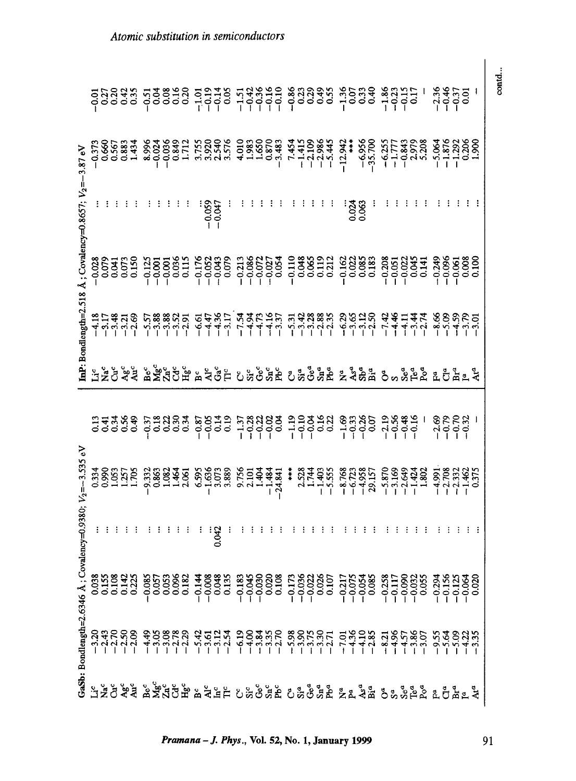|                                                             | GaSb: Bondlength=2.6346 Å; Covalency=0.9380; |         | $V_2 = -3.535$ eV |                                                         | nP: Bondlength=2.518                                                                     |                  | A: Covalency=0.8657: $V_2$ = | 3.87 eV |                                                                           |
|-------------------------------------------------------------|----------------------------------------------|---------|-------------------|---------------------------------------------------------|------------------------------------------------------------------------------------------|------------------|------------------------------|---------|---------------------------------------------------------------------------|
|                                                             |                                              |         |                   |                                                         |                                                                                          |                  |                              |         |                                                                           |
|                                                             |                                              |         |                   |                                                         |                                                                                          |                  |                              |         |                                                                           |
|                                                             |                                              |         |                   |                                                         |                                                                                          |                  |                              |         |                                                                           |
|                                                             |                                              |         |                   |                                                         |                                                                                          |                  |                              |         | 99988<br>99988                                                            |
|                                                             |                                              |         | 3389112500        |                                                         |                                                                                          | 888555<br>000000 |                              |         |                                                                           |
|                                                             |                                              |         |                   |                                                         |                                                                                          |                  |                              |         |                                                                           |
|                                                             |                                              |         |                   |                                                         |                                                                                          |                  |                              |         |                                                                           |
|                                                             |                                              |         |                   |                                                         |                                                                                          |                  |                              |         |                                                                           |
|                                                             |                                              |         |                   |                                                         |                                                                                          |                  |                              |         |                                                                           |
|                                                             |                                              |         |                   |                                                         |                                                                                          |                  |                              |         |                                                                           |
|                                                             |                                              |         |                   |                                                         |                                                                                          |                  |                              |         |                                                                           |
|                                                             |                                              |         |                   |                                                         |                                                                                          |                  |                              |         |                                                                           |
|                                                             |                                              | я.<br>Э |                   |                                                         |                                                                                          |                  |                              |         |                                                                           |
|                                                             |                                              |         |                   |                                                         |                                                                                          |                  |                              |         |                                                                           |
|                                                             |                                              |         |                   |                                                         |                                                                                          |                  |                              |         |                                                                           |
|                                                             |                                              |         |                   |                                                         |                                                                                          |                  |                              |         |                                                                           |
|                                                             |                                              |         |                   |                                                         |                                                                                          |                  |                              |         |                                                                           |
|                                                             |                                              |         |                   |                                                         |                                                                                          |                  |                              |         |                                                                           |
|                                                             |                                              |         |                   |                                                         |                                                                                          |                  |                              |         |                                                                           |
|                                                             |                                              |         |                   |                                                         |                                                                                          |                  |                              |         |                                                                           |
|                                                             |                                              |         |                   |                                                         |                                                                                          |                  |                              |         |                                                                           |
|                                                             |                                              |         |                   |                                                         |                                                                                          |                  |                              |         |                                                                           |
|                                                             |                                              |         |                   |                                                         |                                                                                          |                  |                              |         |                                                                           |
|                                                             |                                              |         |                   |                                                         |                                                                                          |                  |                              |         |                                                                           |
|                                                             |                                              |         |                   |                                                         |                                                                                          |                  |                              |         |                                                                           |
|                                                             |                                              |         |                   |                                                         |                                                                                          |                  | 0.024                        |         |                                                                           |
|                                                             |                                              |         |                   |                                                         |                                                                                          |                  |                              |         |                                                                           |
|                                                             |                                              |         |                   |                                                         |                                                                                          |                  |                              |         |                                                                           |
|                                                             |                                              |         |                   |                                                         |                                                                                          |                  |                              |         |                                                                           |
|                                                             |                                              |         |                   |                                                         |                                                                                          |                  |                              |         |                                                                           |
|                                                             |                                              |         |                   |                                                         |                                                                                          |                  |                              |         |                                                                           |
|                                                             |                                              |         |                   |                                                         |                                                                                          |                  |                              |         |                                                                           |
|                                                             |                                              |         |                   |                                                         |                                                                                          |                  |                              |         |                                                                           |
| 그렇으s 좋을 몇 주었다. 못 보기 이 있으면 오 일 없이 이 일 같은 것 같은 것 같은 말 말을 하고 싶 |                                              |         |                   | 그들은 수술 몇 주었습니 분수 없는 이 것으로 오일 어떻게 잘 잘 알고 오 일들을 작성할 것 같다. | ミロおはめ に怒怒には ねなぶこ はなによび 正なな怒ぎ どること みみコルト めのどりり これにちょう こうしょう こうしょう こうしょう こうしょう こうしょうしょうしょう |                  |                              |         | 00000 1000 100000 1000 1000 1000<br>00000 1000 10000 00000 1000 1000 1000 |
|                                                             |                                              |         |                   |                                                         |                                                                                          |                  |                              |         |                                                                           |
|                                                             |                                              |         |                   |                                                         |                                                                                          |                  |                              |         |                                                                           |
|                                                             |                                              |         |                   |                                                         |                                                                                          |                  |                              |         |                                                                           |
|                                                             |                                              |         |                   |                                                         |                                                                                          |                  |                              |         |                                                                           |

Pramana - J. Phys., Vol. 52, No. 1, January 1999

## 91

contd...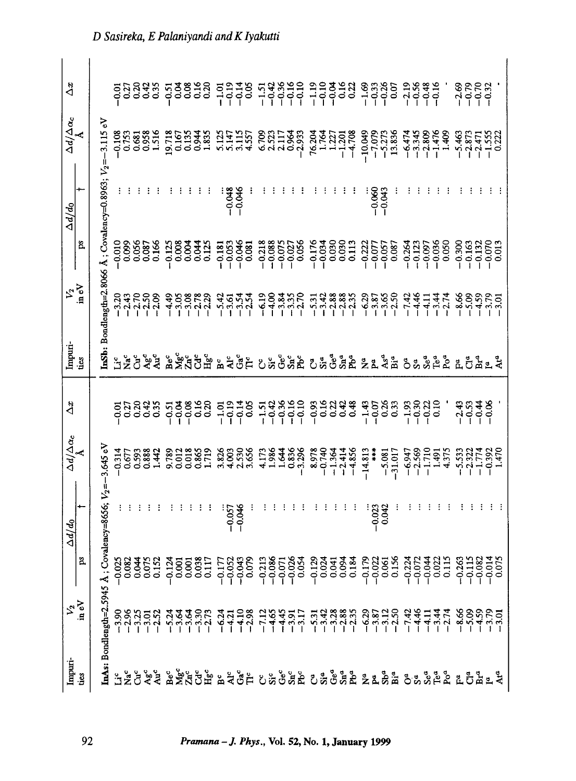| $\Delta x$                                 |                                            |                                                                       |                    |       | <b>spaas</b><br>22333  | $-0.51$ | ρg           | $\frac{8}{3}$<br>$rac{16}{16}$ | 0.20                          |                       |                      |       |                         |                |                                 |                   | 도 - 그리스 - 그리스 - 그리스 - 그리스 - 그리스 - 그리스 - 그리스 - 그리스 - 그리스 - 그리스 - 그리스 - 그리스 - 그리스 - 그리스 - 그리스 - 그리스<br>- 그리스 - 그리스 - 그리스 - 그리스 - 그리스 - 그리스 - 그리스 - 그리스 - 그리스 - 그리스 - 그리스 - 그리스 - 그리스 - 그리스 - 그리스 - 그리스 - 그리스 - 그리스 -<br>- 그리스 - 그리스 |       |                                  |          |           |                      |                                                                    |          |                      |                   |                               |         | $-2.69$<br>$-0.79$               | $-0.32$                       |                            |
|--------------------------------------------|--------------------------------------------|-----------------------------------------------------------------------|--------------------|-------|------------------------|---------|--------------|--------------------------------|-------------------------------|-----------------------|----------------------|-------|-------------------------|----------------|---------------------------------|-------------------|-----------------------------------------------------------------------------------------------------------------------------------------------------------------------------------------------------------------------------------|-------|----------------------------------|----------|-----------|----------------------|--------------------------------------------------------------------|----------|----------------------|-------------------|-------------------------------|---------|----------------------------------|-------------------------------|----------------------------|
| $\frac{\Delta d/\Delta \alpha_c}{\Lambda}$ |                                            |                                                                       | $-0.108$<br>0.753  | 0.681 | 1.516<br>0.958         | 19.718  | 0.167        | 0.135<br>0.944                 | 1.835                         | 5.122                 | 3.115                | 4.557 | 6.709                   | 2.523<br>2.117 |                                 | $-2.933$          | 1.764<br>76.204                                                                                                                                                                                                                   | 1.227 | $-1.201$                         | $-4.708$ |           |                      | $\frac{-10.049}{-7.079}$<br>-5.273<br>13.836                       | $-6.474$ | $-3.345$             |                   | $-2.809$<br>$-1.476$<br>1.409 |         | $-5.463$<br>$-2.873$             |                               |                            |
| $\Delta d/d_0$                             |                                            | <b>inSb:</b> Bondlength=2.8066 Å; Covalency=0.8963; $V_2 = -3.115$ eV |                    |       |                        |         |              |                                |                               |                       | $-0.048$<br>$-0.046$ |       |                         |                |                                 |                   |                                                                                                                                                                                                                                   |       |                                  |          |           | $-0.060$<br>$-0.043$ |                                                                    |          |                      |                   |                               |         |                                  |                               |                            |
|                                            | ð.                                         |                                                                       | $-0.058$           |       | 0.087<br>0.166         | 0.125   | 0.008        | 0.044<br>0.004                 | 0.125                         | $-0.18$               | $-0.046$<br>$-0.053$ | 0.081 | $-0.218$<br>$-0.088$    | $-0.075$       |                                 | $-0.027$<br>0.056 | $-0.176$<br>$-0.034$                                                                                                                                                                                                              |       | 0.030                            | 0.113    |           |                      | $\begin{array}{r} -0.222 \\ -0.077 \\ -0.057 \\ 0.087 \end{array}$ | $-0.264$ | $-0.123$             |                   | $-0.036$<br>0.050             | 0.300   | $-0.163$                         | $-0.132$                      | 0.070                      |
|                                            | $V_2$<br>in eV                             |                                                                       | $-3.20$<br>$-2.43$ | 2.70  | $-2.50$<br>$-2.09$     | 4.49    | 3.05         |                                | $-3.08$<br>$-2.78$<br>$-2.29$ |                       |                      |       | $-6.19$<br>$-4.00$      |                | $-3.35$<br>$-3.35$<br>$-2.70$   |                   | $\frac{7}{11}$ $\frac{7}{11}$ $\frac{8}{11}$ $\frac{8}{11}$ $\frac{8}{11}$ $\frac{8}{11}$ $\frac{8}{11}$ $\frac{8}{11}$ $\frac{8}{11}$ $\frac{8}{11}$ $\frac{8}{11}$ $\frac{8}{11}$ $\frac{8}{11}$ $\frac{8}{11}$ $\frac{8}{11}$  |       |                                  |          |           |                      |                                                                    | $-7.42$  | $-4.46$<br>$-4.11$   |                   | $-3.74$                       |         | $-8.59$<br>$-1.59$               |                               | 3.79<br>9.79               |
| Impuri-                                    | úés                                        |                                                                       | se<br>Sedaa        |       |                        |         |              |                                | <b>A MA</b><br>A MA<br>A H MA | <b>A</b> <sup>c</sup> | Ğř                   |       | ಀಁಀಁ                    | $Ge^c$         |                                 | Snc<br>Phc        | ូនិទំនឹង <sub>និង</sub> និ                                                                                                                                                                                                        |       |                                  |          |           |                      |                                                                    |          |                      |                   |                               |         |                                  |                               | <b>o</b> s s a a a a a a a |
|                                            |                                            |                                                                       |                    |       |                        |         |              |                                |                               |                       |                      |       |                         |                |                                 |                   |                                                                                                                                                                                                                                   |       |                                  |          |           |                      |                                                                    |          |                      |                   |                               |         |                                  |                               |                            |
| $\Delta x$                                 |                                            |                                                                       |                    |       | <b>922332</b><br>22233 | $-0.51$ | $300 - 0.08$ |                                | 0.16                          | $-1.01$<br>$-0.19$    | $-0.14$              |       | $\frac{738890}{100000}$ |                |                                 |                   | $-0.93$                                                                                                                                                                                                                           |       | saas<br>Sada                     |          | $-1.43$   |                      | $-0.33$<br>$-0.33$                                                 | $-1.93$  |                      | 9833<br>000<br>00 |                               | $-2.43$ |                                  | $-0.33$<br>$-0.34$<br>$-0.06$ |                            |
|                                            | $\frac{\Delta d/\Delta \alpha_c}{\Lambda}$ | 3.645 eN                                                              | $-0.314$<br>0.677  | 0.593 | 0.888<br>1.442         | 9.789   | 0.012        | 0.865<br>0.018                 | <b>CL2</b>                    | 3.826                 | 2.530<br>4.003       | 3.656 | 4.173                   | 1.986          | $1.644$<br>$-3.296$<br>$-3.296$ |                   | 8.978<br>8.08.8                                                                                                                                                                                                                   |       | $-1.364$<br>$-2.414$<br>$-4.856$ |          | $-14.813$ | $+ +$                | $-5.081$<br>$-31.017$                                              |          | $-6.947$<br>$-2.569$ | $-1.710$          | 1.491<br>4.375                |         | $-5.533$<br>$-2.322$<br>$-1.774$ |                               | $-0.392$<br>1.47C          |
|                                            | ۰                                          |                                                                       |                    |       |                        |         |              |                                |                               |                       | $-0.046$<br>$-0.057$ |       |                         |                |                                 |                   |                                                                                                                                                                                                                                   |       |                                  |          |           | $-0.023$             |                                                                    |          |                      |                   |                               |         |                                  |                               |                            |
| $\Delta d/d_0$                             | ğ,                                         | Covalency=8656; $V_2$ =-                                              |                    |       |                        |         |              |                                |                               |                       |                      |       |                         |                |                                 |                   |                                                                                                                                                                                                                                   |       |                                  |          |           |                      |                                                                    |          |                      |                   |                               |         |                                  |                               |                            |
|                                            | $\frac{V_2}{\ln eV}$                       | InAs: Bondlength=2.5945 Å                                             |                    |       |                        |         |              |                                |                               |                       |                      |       |                         |                |                                 |                   |                                                                                                                                                                                                                                   |       |                                  |          |           |                      |                                                                    |          |                      |                   |                               |         |                                  |                               |                            |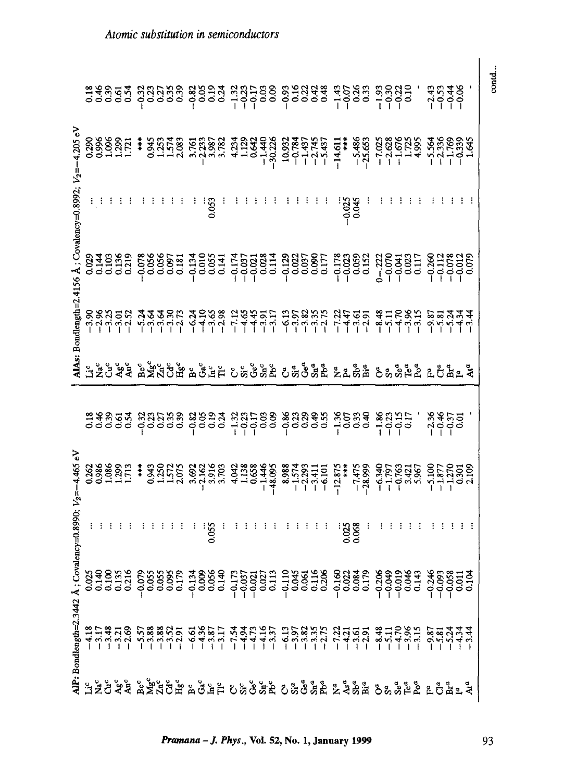|                                                       |  |  |                                  |               |  |                                              |  |                                     |                                                                  |  |  |  |  |  |          | standa doson doso lobos doson lobos lobos.<br>Tassa subsis sobre sintes sobre abenda segio.                                                                                                                                                                                                                                                              |                                |  |  |                                                                                                                                              | $3.548$<br>$7.748$ |                     | contd |
|-------------------------------------------------------|--|--|----------------------------------|---------------|--|----------------------------------------------|--|-------------------------------------|------------------------------------------------------------------|--|--|--|--|--|----------|----------------------------------------------------------------------------------------------------------------------------------------------------------------------------------------------------------------------------------------------------------------------------------------------------------------------------------------------------------|--------------------------------|--|--|----------------------------------------------------------------------------------------------------------------------------------------------|--------------------|---------------------|-------|
| 4.205 eV                                              |  |  | 0398881711                       |               |  |                                              |  |                                     |                                                                  |  |  |  |  |  |          | $\begin{array}{l} \begin{array}{l} \ast \  \  \  \, 3.5253 \\ \ast \  \  \, 3.5253 \\ \ast \  \  \, 2.5254 \\ \ast \  \  \, 2.5258 \\ \ast \  \  \, 2.5258 \\ \ast \  \  \, 2.5258 \\ \ast \  \  \, 2.5258 \\ \ast \  \  \, 2.5258 \\ \ast \  \  \, 2.5258 \\ \ast \  \  \, 2.5258 \\ \ast \  \  \, 2.5258 \\ \ast \  \  \, 2.5258 \\ \ast \  \  \, 2.5$ |                                |  |  |                                                                                                                                              |                    |                     |       |
|                                                       |  |  |                                  |               |  |                                              |  | 0.053                               |                                                                  |  |  |  |  |  | $-0.025$ | 0.045                                                                                                                                                                                                                                                                                                                                                    |                                |  |  |                                                                                                                                              |                    |                     |       |
| AlAs: Bondlength=2.4156 Å; Covalency=0.8992; $V_2$ =- |  |  |                                  |               |  |                                              |  |                                     |                                                                  |  |  |  |  |  |          |                                                                                                                                                                                                                                                                                                                                                          |                                |  |  |                                                                                                                                              |                    |                     |       |
|                                                       |  |  |                                  |               |  |                                              |  |                                     |                                                                  |  |  |  |  |  |          |                                                                                                                                                                                                                                                                                                                                                          |                                |  |  |                                                                                                                                              |                    |                     |       |
|                                                       |  |  |                                  |               |  |                                              |  |                                     |                                                                  |  |  |  |  |  |          | 그늘은 수술 몇 주었으면 보였는 이 것으로도 오일으면 놀고 말을 오 강일도 모임을 것으로                                                                                                                                                                                                                                                                                                        |                                |  |  |                                                                                                                                              |                    |                     |       |
|                                                       |  |  |                                  |               |  |                                              |  |                                     |                                                                  |  |  |  |  |  |          | aesaa dadaa daaa 4daaa daaaa 1aaa 14da<br>aasaa dadaa daaa 4daaa daaaa 1aaa 14da                                                                                                                                                                                                                                                                         |                                |  |  | $-2.36$<br>$-0.37$<br>$-0.37$                                                                                                                |                    |                     |       |
|                                                       |  |  | 0.268<br>0.986<br>1.713<br>1.713 | $\frac{1}{4}$ |  |                                              |  |                                     |                                                                  |  |  |  |  |  |          | 382020 382020 383048 382020 2021<br>382020 382020 383048 382020 384020 394020 395020 395020 395020 395020 395020 3950                                                                                                                                                                                                                                    |                                |  |  | $-6,340$<br>$-1,795$<br>$-1,795$<br>$-1,795$<br>$-1,870$<br>$-1,795$<br>$-1,795$<br>$-1,795$<br>$-1,795$<br>$-1,795$<br>$-1,795$<br>$-1,795$ |                    |                     |       |
| $value_{BCy} = 0.8990; V_2 = -4.465 eV$               |  |  |                                  |               |  |                                              |  | 0.055                               |                                                                  |  |  |  |  |  | 0.025    |                                                                                                                                                                                                                                                                                                                                                          |                                |  |  |                                                                                                                                              |                    |                     |       |
|                                                       |  |  | 038833<br>038833<br>00000        |               |  | $-0.079$<br>0.055<br>0.055<br>0.095<br>0.179 |  | $-0.134$<br>0.009<br>0.056<br>0.140 | n 1787<br>1787 11931 11938<br>1797 11938 1194<br>1797 10930 1198 |  |  |  |  |  |          | $-0.160$<br>$-0.022$<br>$-0.084$<br>$-0.179$                                                                                                                                                                                                                                                                                                             | 0206<br>0303<br>00306<br>00300 |  |  | $-0.346$<br>$-0.093$                                                                                                                         | $-0.058$           | $\frac{1100}{1000}$ |       |
| AlP: Bondlength=2.3442 Å; Cov                         |  |  |                                  |               |  |                                              |  |                                     |                                                                  |  |  |  |  |  |          |                                                                                                                                                                                                                                                                                                                                                          |                                |  |  |                                                                                                                                              |                    |                     |       |
|                                                       |  |  |                                  |               |  |                                              |  |                                     |                                                                  |  |  |  |  |  |          | 그렇으로 몇 몇 몇 명을 좀 좋은 것을 하는 것을 하는 것을 하는 것을 하는 것을 하고 말을 하는다.                                                                                                                                                                                                                                                                                                 |                                |  |  |                                                                                                                                              |                    |                     |       |

Pramana - J. Phys., Vol. 52, No. 1, January 1999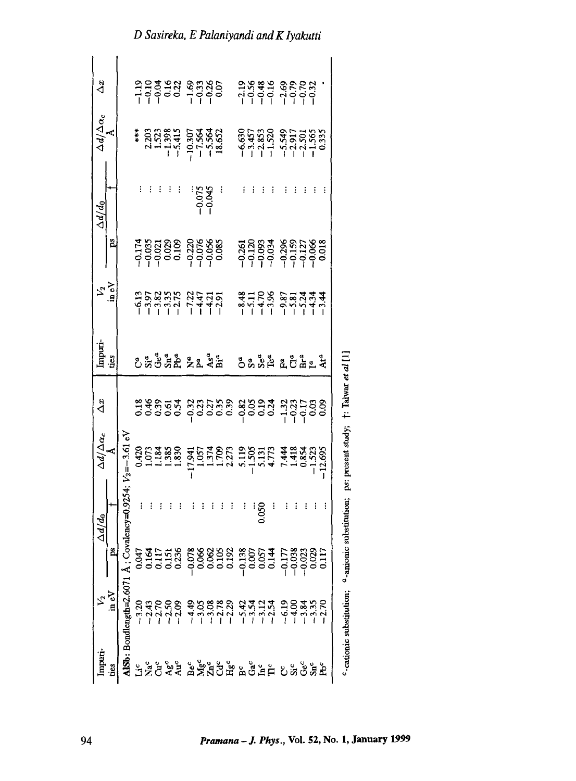| Imputi-<br>ties |                                                                                                                                                                                                                                                                                                   |   | $\Delta d/d_0$ | $\Delta d/\Delta \alpha_c$ | $\Delta x$                                                                            | Impuri.<br>ties                      | $\frac{1}{2}\sum_{i=1}^{N}$   |                                               | $\Delta d/d_0$            | $\Delta d/\Delta \alpha_c$<br>${\rm \AA}$                                                    | Δï                                       |
|-----------------|---------------------------------------------------------------------------------------------------------------------------------------------------------------------------------------------------------------------------------------------------------------------------------------------------|---|----------------|----------------------------|---------------------------------------------------------------------------------------|--------------------------------------|-------------------------------|-----------------------------------------------|---------------------------|----------------------------------------------------------------------------------------------|------------------------------------------|
|                 |                                                                                                                                                                                                                                                                                                   | å |                |                            |                                                                                       |                                      |                               | å                                             |                           |                                                                                              |                                          |
|                 | <b>35</b><br><b>1150:</b> Bondlength=2.6071 Å; C<br><b>1150:</b> Bondlength=2.607<br>12.70<br>12.70<br>12.70<br>12.70<br>12.70<br>14.49<br>13.00<br>13.00<br>14.49<br>13.00<br>13.00<br>13.00<br>13.00<br>13.00<br>13.00<br>13.00<br>13.00<br>13.00<br>2.72<br>13.00<br>2.72<br>13.00<br>2.72<br> |   |                | $-3.61e$                   |                                                                                       |                                      |                               |                                               |                           |                                                                                              |                                          |
|                 |                                                                                                                                                                                                                                                                                                   |   |                |                            |                                                                                       |                                      |                               |                                               |                           |                                                                                              |                                          |
|                 |                                                                                                                                                                                                                                                                                                   |   |                |                            |                                                                                       |                                      |                               |                                               |                           |                                                                                              |                                          |
|                 |                                                                                                                                                                                                                                                                                                   |   |                |                            |                                                                                       |                                      |                               |                                               |                           |                                                                                              |                                          |
|                 |                                                                                                                                                                                                                                                                                                   |   |                |                            |                                                                                       |                                      |                               |                                               |                           |                                                                                              |                                          |
|                 |                                                                                                                                                                                                                                                                                                   |   |                |                            |                                                                                       |                                      |                               |                                               |                           |                                                                                              |                                          |
|                 |                                                                                                                                                                                                                                                                                                   |   |                |                            | ដូងខ្លួនដូ ដូងដូងខ្លួ ដូងខ្លួង ដូងដូនខ្ល<br>ដូងខ្លួនដូ ដូងដូងខ្លួ ដូនខ្លួង ដូងដូនខ្លួ | ូឌូ ៖ ៖ ៖ ៖ ៖ ៖ ៖ ៖                  | 1352355 31475<br>195255 31475 | 1783388 8888<br>1783388 88888<br>199900 99900 |                           | ***<br>2203<br>23338<br>1534<br>193564<br>193564<br>18.564                                   | $192823$<br>$19900$<br>$19900$<br>$1990$ |
|                 |                                                                                                                                                                                                                                                                                                   |   |                |                            |                                                                                       |                                      |                               |                                               |                           |                                                                                              |                                          |
|                 |                                                                                                                                                                                                                                                                                                   |   |                |                            |                                                                                       |                                      |                               |                                               | : 0.075<br>0.045<br>0.045 |                                                                                              |                                          |
|                 |                                                                                                                                                                                                                                                                                                   |   |                |                            |                                                                                       |                                      |                               |                                               |                           |                                                                                              |                                          |
|                 |                                                                                                                                                                                                                                                                                                   |   |                |                            |                                                                                       |                                      |                               |                                               |                           |                                                                                              |                                          |
|                 |                                                                                                                                                                                                                                                                                                   |   |                |                            |                                                                                       |                                      |                               |                                               |                           |                                                                                              |                                          |
|                 |                                                                                                                                                                                                                                                                                                   |   |                |                            |                                                                                       |                                      |                               |                                               |                           |                                                                                              |                                          |
|                 |                                                                                                                                                                                                                                                                                                   |   | 0.050          |                            |                                                                                       |                                      |                               |                                               |                           |                                                                                              |                                          |
|                 |                                                                                                                                                                                                                                                                                                   |   |                |                            |                                                                                       |                                      |                               |                                               |                           |                                                                                              |                                          |
|                 |                                                                                                                                                                                                                                                                                                   |   |                |                            |                                                                                       | ូ <sub>ទី ទី</sub> ក្នុង ក្នុង ក្នុង |                               |                                               |                           | $-6,630$<br>$-3,853$<br>$-1,520$<br>$-1,549$<br>$-1,565$<br>$-1,565$<br>$-1,565$<br>$-1,565$ |                                          |
|                 |                                                                                                                                                                                                                                                                                                   |   |                |                            |                                                                                       |                                      |                               |                                               |                           |                                                                                              |                                          |
|                 |                                                                                                                                                                                                                                                                                                   |   |                |                            |                                                                                       |                                      |                               |                                               |                           |                                                                                              |                                          |
|                 |                                                                                                                                                                                                                                                                                                   |   |                |                            |                                                                                       |                                      |                               |                                               |                           |                                                                                              |                                          |
|                 |                                                                                                                                                                                                                                                                                                   |   |                |                            |                                                                                       |                                      |                               |                                               |                           |                                                                                              |                                          |
|                 |                                                                                                                                                                                                                                                                                                   |   |                |                            |                                                                                       |                                      |                               |                                               |                           |                                                                                              |                                          |

<sup>c</sup>-cationic substitution; <sup>a</sup>-anionic substitution; ps: present study; †: Talwar et al [1]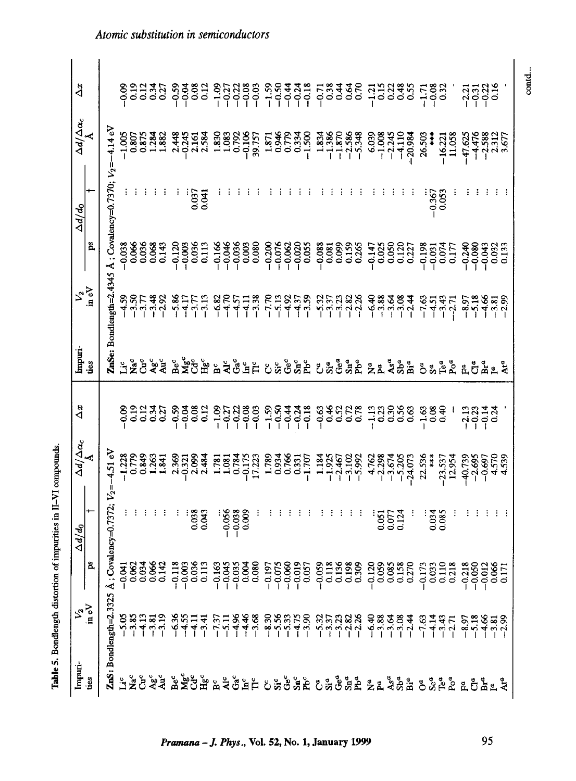| Impuri-             | $\frac{v_2}{\ln eV}$            |                                                                                                                                                                                                                                                                                                                     | $\Delta d/d_0$                   | $\frac{\Delta d/\Delta \alpha_c}{\hbar}$     | $\Delta x$          | Impuri-                      | という                     |                                     | $\Delta d/d_0$                        | $\Delta d/\Delta \alpha_c$       | ˻                          |
|---------------------|---------------------------------|---------------------------------------------------------------------------------------------------------------------------------------------------------------------------------------------------------------------------------------------------------------------------------------------------------------------|----------------------------------|----------------------------------------------|---------------------|------------------------------|-------------------------|-------------------------------------|---------------------------------------|----------------------------------|----------------------------|
| ties                |                                 | 8                                                                                                                                                                                                                                                                                                                   |                                  |                                              |                     | ties                         |                         | ps                                  |                                       |                                  |                            |
|                     | ZnS: Bondlength=2.3325          | ن<br>نه                                                                                                                                                                                                                                                                                                             | ovalency=0.7372; $V_2$ =-4.51 eV |                                              |                     |                              | UnSe: Bondlength=2.4345 |                                     | Å; Covalency=0.7370; $V_2 = -4.14$ eV |                                  |                            |
| $2\frac{c}{Z}$      | $-5.05$<br>$-3.85$              | $-0.82$<br>$-0.62$<br>$-0.634$                                                                                                                                                                                                                                                                                      |                                  | $-1.228$<br>0.779<br>0.849                   | $-0.09$             | $\tilde{L}$                  | $-4.59$                 | $-0.038$                            |                                       | $-1.005$                         | $-0.09$                    |
|                     |                                 |                                                                                                                                                                                                                                                                                                                     |                                  |                                              |                     | $\check{\tilde{\mathbf{z}}}$ | $-3.50$                 | 0.066                               |                                       | 0.807<br>0.875                   |                            |
| ථි                  | $-4.13$                         |                                                                                                                                                                                                                                                                                                                     |                                  |                                              | $\frac{25}{0.12}$   | ಕಿ                           | 3.77                    | 0.036                               |                                       |                                  | $0.19$<br>$0.12$           |
|                     |                                 | $\frac{8}{10}$                                                                                                                                                                                                                                                                                                      |                                  | 1.263                                        | 0.34                |                              |                         | 0.068                               |                                       |                                  |                            |
| ५४°<br>१२           | $-3.81$<br>$-3.19$              | 0.14                                                                                                                                                                                                                                                                                                                |                                  | 1.841                                        | 0.27                | Agc<br>Auc                   | $-3.48$<br>$-2.92$      | 0.143                               |                                       | 1.284                            | 951<br>951                 |
|                     | $-6.36$<br>$-4.55$              | $-0.11$                                                                                                                                                                                                                                                                                                             |                                  | 2.369                                        | $-0.59$             |                              | 5.86                    | $-0.120$                            |                                       | 2.448                            |                            |
|                     |                                 | $-0.00$                                                                                                                                                                                                                                                                                                             |                                  | $-0.321$                                     | $-0.04$             |                              | $\frac{17}{4}$          | $-0.003$                            |                                       | $-0.245$                         | ვ<br>- ი<br>- 1<br>- 1     |
| <u>នំ និង គឺ</u>    | $-4.11$<br>$-3.41$              | $\begin{smallmatrix} 0.3 \\ 0.11 \end{smallmatrix}$                                                                                                                                                                                                                                                                 | 0.038                            | 2.099                                        | 0.08                | ្ធ័<br>កំពុង                 | $-3.7$                  | 0.036                               | 0.037                                 | 2.161                            | 0.08                       |
|                     |                                 |                                                                                                                                                                                                                                                                                                                     | 0.043                            | 2.484                                        | 0.12                |                              | $-3.13$                 | 0.113                               | 6.041                                 | 2.584                            | 0.12                       |
| $\sum_{i=1}^{n}$    | $-7.37$<br>$-5.11$              | $-0.16$                                                                                                                                                                                                                                                                                                             |                                  | 1.781                                        | $-1.09$             | ă                            | $-6.82$                 | $-0.166$                            |                                       | 1.830<br>0.792<br>0.792          | $-1.09$                    |
|                     |                                 | $-0.04$                                                                                                                                                                                                                                                                                                             | $-0.056$                         | 1.081                                        | $-0.27$             | ă                            | 470                     | $-0.046$                            |                                       |                                  | $-0.2$                     |
| ចំ≚ដំ               | $-4.36$<br>$-4.46$<br>$-3.68$   | $-0.03$                                                                                                                                                                                                                                                                                                             | $-0.038$                         | 0.784                                        | $\frac{228}{100}$   | Ga <sup>c</sup>              | $4.5^{\circ}$           | $-0.036$                            |                                       |                                  |                            |
|                     |                                 | $\alpha$                                                                                                                                                                                                                                                                                                            | 0.009                            | $-0.175$                                     |                     | Ě                            | $-4.11$                 | 0.003                               |                                       | $-0.106$<br>39.757               |                            |
|                     |                                 | 0.08                                                                                                                                                                                                                                                                                                                |                                  | 17.223                                       | $-0.03$             | Ĕ                            | $-3.38$                 | 0.080                               |                                       |                                  | 22<br>000<br>000           |
|                     | $-8.30$<br>$-5.56$<br>$-5.33$   | $-0.19$                                                                                                                                                                                                                                                                                                             |                                  | 1.789                                        | $-1.59$             | ប៉ះច័                        | $-7.70$                 | $-0.200$                            |                                       | 1.871<br>0.946<br>0.779          | $-1.59$<br>$-0.54$         |
|                     |                                 | $-0.07$<br>$-0.06$                                                                                                                                                                                                                                                                                                  |                                  | 0.934<br>0.766                               | $-0.50$             |                              | $-5.13$<br>$-4.92$      | $-0.076$<br>$-0.062$                |                                       |                                  |                            |
|                     |                                 |                                                                                                                                                                                                                                                                                                                     |                                  |                                              | $-0.4$              |                              |                         |                                     |                                       |                                  |                            |
|                     |                                 | $\frac{58}{100}$                                                                                                                                                                                                                                                                                                    |                                  | $-1.707$                                     | $-0.28$             | $S_{\rm nc}^{\rm c}$         |                         | $-0.020$                            |                                       |                                  | $-0.24$                    |
|                     |                                 |                                                                                                                                                                                                                                                                                                                     |                                  |                                              |                     |                              | $-4.37$<br>$-3.59$      | 0.055                               |                                       | $0.334$<br>-1.500                | $-0.18$                    |
| บะชะละ ขะชะสะ       | $158$<br>$158$<br>$193$<br>$19$ | $-0.05$                                                                                                                                                                                                                                                                                                             |                                  | $-1.184$<br>-1.925                           | $-0.63$             | ౿ఙఄఄ౿ఄఀౙఄ                    | $-5.32$<br>$-3.37$      | $-0.088$<br>0.081<br>0.099<br>0.159 |                                       | $-1.834$<br>$-1.386$             | $-0.71$<br>0.38            |
|                     |                                 |                                                                                                                                                                                                                                                                                                                     |                                  |                                              |                     |                              |                         |                                     |                                       |                                  |                            |
|                     |                                 | $\frac{1}{2}$ $\frac{1}{2}$ $\frac{3}{2}$ $\frac{3}{2}$ $\frac{3}{2}$ $\frac{3}{2}$ $\frac{3}{2}$ $\frac{3}{2}$ $\frac{3}{2}$ $\frac{3}{2}$ $\frac{3}{2}$ $\frac{3}{2}$ $\frac{3}{2}$ $\frac{3}{2}$ $\frac{3}{2}$ $\frac{3}{2}$ $\frac{3}{2}$ $\frac{3}{2}$ $\frac{3}{2}$ $\frac{3}{2}$ $\frac{3}{2}$ $\frac{3}{2}$ |                                  | $-2.467$                                     | 0.52                |                              | -3.32<br>-3.32<br>--    |                                     |                                       | $-1.870$<br>$-2.586$<br>$-5.348$ | $^{4}$                     |
|                     |                                 |                                                                                                                                                                                                                                                                                                                     |                                  | $-3.102$                                     | 0.72                |                              |                         |                                     |                                       |                                  | 0.64                       |
|                     | n<br>1288<br>1149               |                                                                                                                                                                                                                                                                                                                     |                                  | $-5.992$                                     | 0.78                |                              |                         | 0.265                               |                                       |                                  | $\overline{0.70}$          |
|                     |                                 | $-0.12$                                                                                                                                                                                                                                                                                                             |                                  | $-2.298$<br>$-2.298$<br>$-3.674$<br>$-5.205$ | $-1.13$             | <b>ភីទី</b> ទីទី             | $48838$<br>$99338$      | $-0.147$                            |                                       | 6.039                            | $-1.21$                    |
|                     |                                 |                                                                                                                                                                                                                                                                                                                     | 0.051                            |                                              | $\frac{0.23}{0.30}$ |                              |                         | $\frac{0.025}{0.050}$               |                                       | $-1.008$<br>$-2.245$             |                            |
|                     |                                 | 00815<br>0000                                                                                                                                                                                                                                                                                                       | 0.077<br>0.124                   |                                              |                     |                              |                         |                                     |                                       |                                  | 1128<br>1128               |
|                     | $38484$<br>$1111$               | 0.27                                                                                                                                                                                                                                                                                                                |                                  |                                              | 0.56                |                              |                         | 0.120                               |                                       | $-4.110$                         |                            |
|                     |                                 |                                                                                                                                                                                                                                                                                                                     |                                  | $-24.073$                                    | 0.63                | $\ddot{B}$                   | $-2.44$                 | 0.227                               |                                       | $-20.984$                        | 0.55                       |
| 223222              | $-7.63$                         | $-0.17$                                                                                                                                                                                                                                                                                                             |                                  | 22.536                                       | $\frac{63}{0.08}$   | ಂ<br>೧೮೬                     | $-7.63$                 | $-0.198$                            |                                       | 26.503                           | $-1.71$<br>$-0.08$<br>0.32 |
|                     | $-4.14$                         | 0.03                                                                                                                                                                                                                                                                                                                | 0.034                            | $*$                                          |                     |                              | $-4.51$                 | $-0.031$                            | $-0.367$                              | $\ddot{x}$                       |                            |
|                     | $-3.43$                         |                                                                                                                                                                                                                                                                                                                     | 0.085                            | -23.537<br>12.954                            | 6.40                |                              | $-3.43$                 |                                     | 0.053                                 | $-16.221$                        |                            |
| $P_{\rm o}^{\rm q}$ | $-2.71$                         | 0.21                                                                                                                                                                                                                                                                                                                |                                  |                                              |                     | $P_0^a$                      | $-2.71$                 | 0.17                                |                                       | 11.058                           |                            |
| ឌី ប៊ី              | $-8.97$                         | $-0.21$                                                                                                                                                                                                                                                                                                             |                                  | $-40.739$<br>$-2.695$                        | $-2.13$<br>$-0.23$  | å,                           | $-8.97$<br>$-5.18$      | $-0.240$                            |                                       | $-47.625$                        | 1932<br>4999               |
|                     | $-5.18$                         | $-0.05$                                                                                                                                                                                                                                                                                                             |                                  |                                              |                     | ចំ                           |                         | $-0.080$                            |                                       | $-4.476$<br>$-2.588$             |                            |
|                     | $-4.66$                         | $-0.01$                                                                                                                                                                                                                                                                                                             |                                  | $-0.697$                                     | $-0.25$             | ٩ť                           | $-4.66$                 | $-0.043$                            |                                       |                                  |                            |
| ក្កី ក្នុ<br>ក្នុង  | $-3.81$<br>$-2.99$              | $rac{8}{0.1}$                                                                                                                                                                                                                                                                                                       |                                  | 4.570                                        |                     | $\mathbf{e}$                 |                         | 0.03                                |                                       | 2312<br>2312                     |                            |
|                     |                                 |                                                                                                                                                                                                                                                                                                                     |                                  | 4.539                                        |                     | Åta                          |                         | 0.133                               |                                       | 3.677                            |                            |

Table 5. Bondlength distortion of impurities in II-VI compounds.

contd...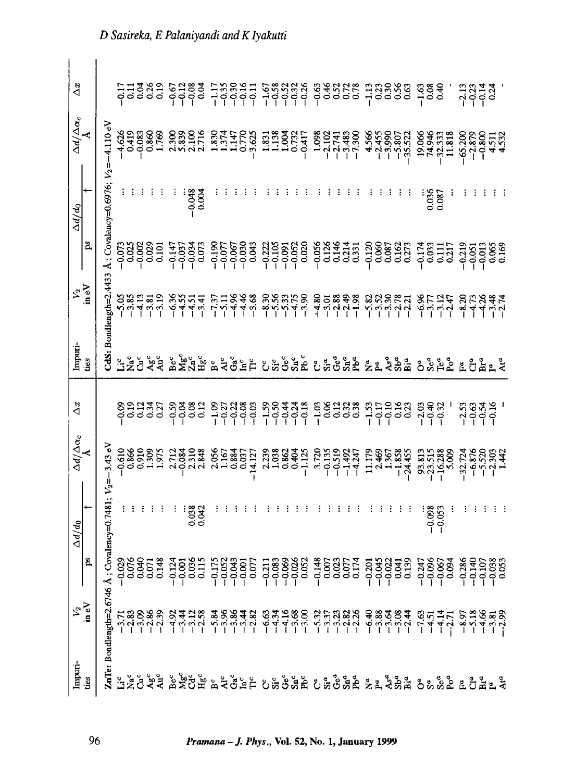| Impuri-                                                                                | $V_2$ in eV                                                                                                                                           |    | $\Delta d/d_0$             | $\frac{\Delta d/\Delta \alpha_c}{\hbar}$                            | $\Delta x$                  | Impuri-<br>tes          | $\frac{V_2}{\ln eV}$                                 |                                                                   | $\Delta d/d_0$                          |                                                                          | $\Delta x$                                                                                                                                                      |
|----------------------------------------------------------------------------------------|-------------------------------------------------------------------------------------------------------------------------------------------------------|----|----------------------------|---------------------------------------------------------------------|-----------------------------|-------------------------|------------------------------------------------------|-------------------------------------------------------------------|-----------------------------------------|--------------------------------------------------------------------------|-----------------------------------------------------------------------------------------------------------------------------------------------------------------|
| ties                                                                                   |                                                                                                                                                       | ă, | $\div$                     |                                                                     |                             |                         |                                                      | $\mathbf{p}$                                                      |                                         | $\frac{\Delta d/\overline{\Delta}\alpha_c}{\Lambda}$                     |                                                                                                                                                                 |
|                                                                                        | ZnTe: Bondlength=2.6746 Å;                                                                                                                            |    | Covalency=0.7481; $V_2$ =- | 3.43 eV                                                             |                             |                         | 2dS: Bondlength=2.4433                               |                                                                   | Å : Covalency=0.6976; $V_2 = -4.110$ eV |                                                                          |                                                                                                                                                                 |
|                                                                                        |                                                                                                                                                       |    |                            |                                                                     |                             |                         |                                                      |                                                                   |                                         |                                                                          |                                                                                                                                                                 |
|                                                                                        |                                                                                                                                                       |    |                            | $-0.610$<br>$0.866$                                                 | 000000<br>00000             | $5\frac{c}{Z}$          | $-5.85$                                              | $-0.073$                                                          |                                         | 4,626<br>0.419                                                           | 27788                                                                                                                                                           |
|                                                                                        |                                                                                                                                                       |    |                            | 0.910<br>1.975<br>1.975                                             |                             | å                       | $-4.13$<br>$-3.81$<br>$-3.19$                        | $\begin{array}{c} 0.002 \\ 0.023 \\ 0.01 \end{array}$             |                                         | $-0.083$<br>0.860<br>1.769                                               |                                                                                                                                                                 |
|                                                                                        |                                                                                                                                                       |    |                            |                                                                     |                             | Agc<br>Auc              |                                                      |                                                                   |                                         |                                                                          |                                                                                                                                                                 |
|                                                                                        |                                                                                                                                                       |    |                            |                                                                     |                             |                         |                                                      |                                                                   |                                         |                                                                          |                                                                                                                                                                 |
|                                                                                        |                                                                                                                                                       |    |                            | 2.712                                                               |                             |                         | $-6.36$                                              | $-0.147$                                                          |                                         |                                                                          |                                                                                                                                                                 |
|                                                                                        |                                                                                                                                                       |    |                            | $-0.084$                                                            |                             |                         | $-4.55$                                              | $-0.037$                                                          |                                         |                                                                          |                                                                                                                                                                 |
|                                                                                        |                                                                                                                                                       |    | 0.038                      | 2.310                                                               | $3382$<br>$-0.382$          | <b>ី</b><br>ក្នុង ក្នុង | $\frac{51}{131}$                                     | $-0.073$                                                          | $-0.048$                                | 2300<br>2333<br>2.716                                                    | 57<br>9388<br>999                                                                                                                                               |
|                                                                                        |                                                                                                                                                       |    | 0.042                      |                                                                     |                             |                         |                                                      |                                                                   | 0.004                                   |                                                                          |                                                                                                                                                                 |
|                                                                                        |                                                                                                                                                       |    |                            | 2.056                                                               |                             | ă                       | $-7.37$                                              | $-0.19C$                                                          |                                         | $1.374$<br>$1.374$<br>$1.47$<br>$0.770$                                  |                                                                                                                                                                 |
|                                                                                        |                                                                                                                                                       |    |                            | 1.167                                                               |                             | Åc                      |                                                      | $-0.077$                                                          |                                         |                                                                          |                                                                                                                                                                 |
|                                                                                        |                                                                                                                                                       |    |                            | $0.884$<br>$0.037$                                                  |                             | Ğ                       |                                                      | $-0.067$                                                          |                                         |                                                                          |                                                                                                                                                                 |
|                                                                                        |                                                                                                                                                       |    |                            |                                                                     |                             | Ĕυ                      |                                                      | $-0.030$                                                          |                                         |                                                                          |                                                                                                                                                                 |
|                                                                                        |                                                                                                                                                       |    |                            | $-14.127$                                                           |                             | $\overline{\Pi}^c$      | ロッキー またまたい いっぽい いちょうたい こころかい こうさく こうかん しょうしょう しょうしょう | 0.043                                                             |                                         | $-3.625$                                                                 | $\begin{array}{cccc} 1.78841 & 0.88948 & 0.48948 \\ -1.99941 & 0.99948 & 0.48948 \\ -1.99941 & 0.99948 & 0.489488 \\ -1.99941 & 0.99948 & 0.489488 \end{array}$ |
|                                                                                        |                                                                                                                                                       |    |                            | 2.239<br>1.038<br>0.862                                             |                             | ರಿಕೆ                    |                                                      | $-0.222$                                                          |                                         | 1.33<br>1.138<br>1.02<br>1.02                                            |                                                                                                                                                                 |
|                                                                                        |                                                                                                                                                       |    |                            |                                                                     |                             |                         |                                                      |                                                                   |                                         |                                                                          |                                                                                                                                                                 |
|                                                                                        |                                                                                                                                                       |    |                            |                                                                     |                             | Gec                     |                                                      | $-0.105$<br>$-0.091$<br>$-0.052$                                  |                                         |                                                                          |                                                                                                                                                                 |
|                                                                                        |                                                                                                                                                       |    |                            | 0.404                                                               |                             | Sn <sup>c</sup>         |                                                      |                                                                   |                                         |                                                                          |                                                                                                                                                                 |
|                                                                                        |                                                                                                                                                       |    |                            | $-1.125$                                                            |                             | $Pb$ c                  |                                                      | 0.020                                                             |                                         | $-0.417$<br>$-1.098$<br>$-1.7483$<br>$-1.7483$<br>$-1.7483$<br>$-1.7483$ |                                                                                                                                                                 |
|                                                                                        |                                                                                                                                                       |    |                            | 3.720                                                               |                             | C <sub>a</sub>          |                                                      | $-0.056$<br>0.126<br>0.146<br>0.331<br>0.331                      |                                         |                                                                          |                                                                                                                                                                 |
|                                                                                        |                                                                                                                                                       |    |                            |                                                                     |                             |                         |                                                      |                                                                   |                                         |                                                                          |                                                                                                                                                                 |
|                                                                                        |                                                                                                                                                       |    |                            |                                                                     |                             | ತೆ                      |                                                      |                                                                   |                                         |                                                                          |                                                                                                                                                                 |
|                                                                                        |                                                                                                                                                       |    |                            |                                                                     |                             | $Sn^a$                  |                                                      |                                                                   |                                         |                                                                          |                                                                                                                                                                 |
|                                                                                        |                                                                                                                                                       |    |                            | $-0.135$<br>$-0.519$<br>$-1.492$<br>$-1.247$                        |                             |                         |                                                      |                                                                   |                                         |                                                                          |                                                                                                                                                                 |
|                                                                                        |                                                                                                                                                       |    |                            | 11.179<br>2.469                                                     | $-1.53$<br>$-0.17$          | <b>Z</b> <sub>a</sub>   |                                                      | $-0.120$<br>0.060<br>0.087<br>0.162<br>0.273                      |                                         | $4.566$<br>$-2.455$<br>$-3.990$<br>$-5.807$<br>$-5.522$                  | $\frac{13}{133}$<br>0.38<br>0.56                                                                                                                                |
|                                                                                        |                                                                                                                                                       |    |                            |                                                                     |                             |                         |                                                      |                                                                   |                                         |                                                                          |                                                                                                                                                                 |
|                                                                                        |                                                                                                                                                       |    |                            |                                                                     |                             |                         |                                                      |                                                                   |                                         |                                                                          |                                                                                                                                                                 |
|                                                                                        |                                                                                                                                                       |    |                            | $-1.367$<br>-1.858<br>-24.455                                       | $-0.16$<br>$0.16$<br>$0.23$ | Asa<br>Sha              |                                                      |                                                                   |                                         |                                                                          |                                                                                                                                                                 |
|                                                                                        |                                                                                                                                                       |    |                            |                                                                     |                             |                         |                                                      |                                                                   |                                         |                                                                          | 0.63                                                                                                                                                            |
|                                                                                        |                                                                                                                                                       |    |                            |                                                                     | $-2.03$                     | å                       |                                                      | $-0.174$                                                          |                                         | 19.066<br>74.946                                                         | $\frac{163}{0.30}$                                                                                                                                              |
|                                                                                        |                                                                                                                                                       |    | $-0.098$                   | 93.813<br>--23.515<br>--16.288<br>--                                | $-0.40$<br>$-0.32$          | $S^a_{\mu\sigma}$       |                                                      | 0.033                                                             | 0.036                                   |                                                                          |                                                                                                                                                                 |
|                                                                                        |                                                                                                                                                       |    | $-0.053$                   |                                                                     |                             |                         |                                                      | $\frac{11}{2}$                                                    | 0.087                                   | $-32.333$<br>11.818                                                      |                                                                                                                                                                 |
|                                                                                        |                                                                                                                                                       |    |                            |                                                                     |                             |                         |                                                      | 0.217                                                             |                                         |                                                                          |                                                                                                                                                                 |
|                                                                                        |                                                                                                                                                       |    |                            |                                                                     | $-2.53$                     |                         | $25.85$<br>$25.85$                                   | $-0.219$                                                          |                                         |                                                                          | $-2.13$                                                                                                                                                         |
| ្មី និង្គី និង្គណូ និង្គធ្មើង ស្ពាំង្គី ស្ពាំង្គី និង្គី និង្គ និង្គន្ធី ដូច្នាំ និង្គ | הָאֲפָאָהָ הָאָךָ הָאָפָאָם הָאָפּלָאָקָטָ הָאָלָאָהָ הָאָלָאָלָ הָאָלָאָלָ<br>הְאִיְחָיִן הָלְרֹךְ הָקְרָחָלָ הָקָרְחָלָ הָקָרָה הָלְרֹךְ הָלְרֹחָלָ |    |                            | $\begin{array}{r} 32.724 \\ -6.876 \\ -1.530 \\ -1.442 \end{array}$ | $rac{63}{634}$              | <b>E</b> Che            |                                                      | $\begin{array}{r} -0.051 \\ -0.013 \\ 0.065 \\ 0.169 \end{array}$ |                                         | $-65.200$<br>$-2.879$<br>$-0.800$<br>$+511$<br>$4.532$                   | $\frac{1}{2}$<br>$\frac{1}{4}$<br>$\frac{1}{4}$                                                                                                                 |
|                                                                                        |                                                                                                                                                       |    |                            |                                                                     |                             |                         |                                                      |                                                                   |                                         |                                                                          |                                                                                                                                                                 |
|                                                                                        |                                                                                                                                                       |    |                            |                                                                     |                             | $\mathbf{r}^a$          | सङ्ग<br>नंदन                                         |                                                                   |                                         |                                                                          |                                                                                                                                                                 |
|                                                                                        |                                                                                                                                                       |    |                            |                                                                     |                             |                         |                                                      |                                                                   |                                         |                                                                          |                                                                                                                                                                 |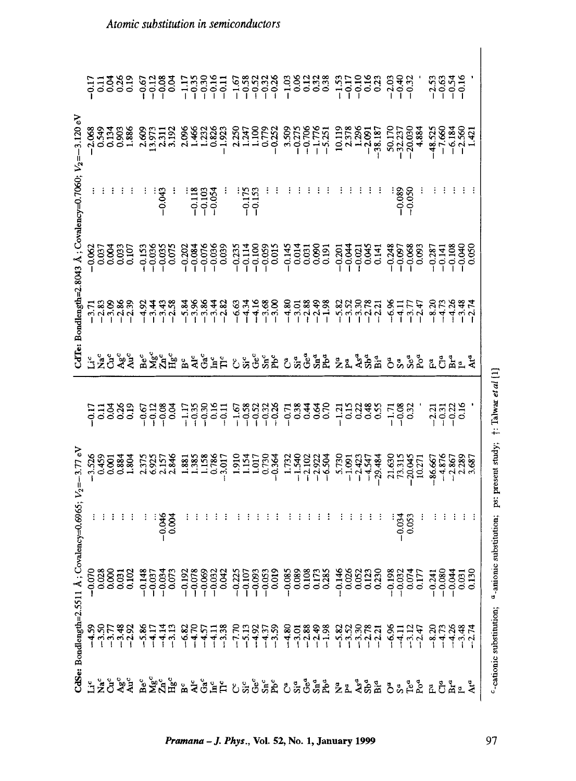|                                              |  |  | 11288 6182 12351 68888 58988 61998 648 ' 6689<br>11388 6183 12361 68888 1000 11000 100 100 1000                                                                                                                                  |                                                                                                                                                                               |  |  |  |  |  |  |  |                      |  |  |  |
|----------------------------------------------|--|--|----------------------------------------------------------------------------------------------------------------------------------------------------------------------------------------------------------------------------------|-------------------------------------------------------------------------------------------------------------------------------------------------------------------------------|--|--|--|--|--|--|--|----------------------|--|--|--|
|                                              |  |  |                                                                                                                                                                                                                                  |                                                                                                                                                                               |  |  |  |  |  |  |  |                      |  |  |  |
| .8043 Å; Covalency=0.7060; $V_2 = -3.120$ eV |  |  | $-0.043$                                                                                                                                                                                                                         | $\begin{array}{r} \text{} \\ \text{} \\ \text{} \\ \text{} \\ \text{-0.105} \\ \text{-0.054} \\ \text{-0.175} \\ \text{-0.175} \\ \text{-0.175} \\ \text{-0.175} \end{array}$ |  |  |  |  |  |  |  | $-0.089$<br>$-0.050$ |  |  |  |
|                                              |  |  | s<br>83885 nasas assas annesa nasas ann an assas anno<br>83885 nasas assas annesa nasas ann an assas anno                                                                                                                        |                                                                                                                                                                               |  |  |  |  |  |  |  |                      |  |  |  |
| CdTe: Bondlength=2                           |  |  | ר 2002 אליו לקיימי המשפט המוניק לאורח לא היה לא היה לא היה לא היה לא היה לא היה לא היה לא היה לא היה לא היה לא<br>היה היה לא היה לא היה לא היה לא היה לא היה לא היה לא היה לא היה לא היה לא היה לא היה לא היה לא היה לא היה לא ה |                                                                                                                                                                               |  |  |  |  |  |  |  |                      |  |  |  |
|                                              |  |  | Hž č ž ž ž ž č ž č ž č ž č ž č ž č č ž č ž ž ž ž ž ž ž č ž ž č č č ž ž ž                                                                                                                                                         |                                                                                                                                                                               |  |  |  |  |  |  |  |                      |  |  |  |
|                                              |  |  |                                                                                                                                                                                                                                  |                                                                                                                                                                               |  |  |  |  |  |  |  |                      |  |  |  |
|                                              |  |  |                                                                                                                                                                                                                                  |                                                                                                                                                                               |  |  |  |  |  |  |  |                      |  |  |  |
|                                              |  |  | de e sa banda angles e disea banda e sana ang sa banda.<br>Sa banda ang sa banda ang banda ang sa banda ang sa banda.                                                                                                            |                                                                                                                                                                               |  |  |  |  |  |  |  |                      |  |  |  |
| $V_2 = -3.77 e^3$                            |  |  | $-0.046$                                                                                                                                                                                                                         |                                                                                                                                                                               |  |  |  |  |  |  |  | $-0.034$             |  |  |  |
| Covalency=0.6965;                            |  |  |                                                                                                                                                                                                                                  |                                                                                                                                                                               |  |  |  |  |  |  |  |                      |  |  |  |
| CdSe: Bondlength=2.5511 Å                    |  |  | RGF #3 %HTH & RGH RH RH & SH & R & & & & & & HH & HH & REA #<br>The Think Him & The Friday & SH & R & & & & A & HH & REA # The REA & The REA & The REA & The REA & T                                                             |                                                                                                                                                                               |  |  |  |  |  |  |  |                      |  |  |  |

<sup>c</sup>-cationic substitution;  $a$ -anionic substitution; ps: present study;  $\uparrow$ : Talwar et al [1]

 $\overline{\phantom{a}}$ 

<sup>97</sup>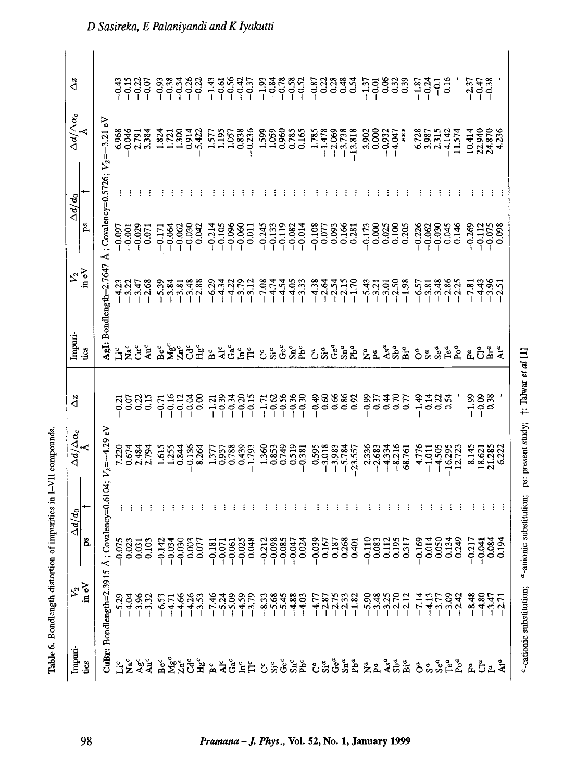| ı                             |
|-------------------------------|
| ,,,,,                         |
|                               |
|                               |
|                               |
|                               |
|                               |
| .<br>.<br>.                   |
| $\overline{a}$<br>i<br>I<br>I |
|                               |
| l                             |

 $\mathbf{I}$ 

| $\Delta x$                                 |                |                                                              | $-0.15$            |                      |          | $-0.22$<br>$-0.07$                                                                                                                                                                                                                                                                                                                                | $-0.38$<br>$-0.34$ |          |          |          | $-0.26$            | $-1.43$                           | $-0.61$                  | $-0.56$  | $-0.42$   | $-0.37$  | $-1.93$                       | $-0.84$<br>$-0.78$ |          | $-0.58$<br>$-0.52$    |          | -0.87<br>0.87 |                                  | 0.28           | 0.48                  | 0.54      | $-1.37$                | $-0.01$       | 0.06           | 0.32           | 0.39              | $-1.87$<br>$-0.24$ |                      | ခု          | 0.16     |                               | $-2.37$         | $-0.47$<br>$-0.38$                  |                  |       |
|--------------------------------------------|----------------|--------------------------------------------------------------|--------------------|----------------------|----------|---------------------------------------------------------------------------------------------------------------------------------------------------------------------------------------------------------------------------------------------------------------------------------------------------------------------------------------------------|--------------------|----------|----------|----------|--------------------|-----------------------------------|--------------------------|----------|-----------|----------|-------------------------------|--------------------|----------|-----------------------|----------|---------------|----------------------------------|----------------|-----------------------|-----------|------------------------|---------------|----------------|----------------|-------------------|--------------------|----------------------|-------------|----------|-------------------------------|-----------------|-------------------------------------|------------------|-------|
| $\Delta d/\Delta \alpha_c$                 |                |                                                              | 6.968              |                      | 2.791    | 3.384                                                                                                                                                                                                                                                                                                                                             | 1.824              | 1.721    | 1.300    | 0.914    | 5.422              | 1.577                             | 1.195                    | 1.057    | 0.838     | $-0.236$ | 1.599                         | 1.059              | 0.960    | 0.785<br>0.165        |          | 1.785         | $-1.478$<br>$-2.069$<br>$-3.738$ |                |                       | $-13.818$ | 3,902                  | 0.000         | $-0.932$       | 开关<br>$-4.047$ |                   | 6.728              | 3.987                | 2.315       | $-4.142$ | 11.574                        |                 | 10.414<br>22.940<br>24.878<br>4.236 |                  |       |
| $\Delta d/d_0$                             |                |                                                              |                    |                      |          |                                                                                                                                                                                                                                                                                                                                                   |                    |          |          |          |                    |                                   |                          |          |           |          |                               |                    |          |                       |          |               |                                  |                |                       |           |                        |               |                |                |                   |                    |                      |             |          |                               |                 |                                     |                  |       |
|                                            | ps             |                                                              | $-0.097$           | $-0.001$             | $-0.029$ | 0.071                                                                                                                                                                                                                                                                                                                                             | $-0.171$           | $-0.064$ | $-0.062$ | $-0.030$ | 0.042              | $-0.214$                          | $-0.105$                 | $-0.096$ | $-0.060$  | 0.011    | $-0.245$                      | $-0.133$           | $-0.119$ | $-0.082$              | $-0.014$ | $-0.108$      | 0.077                            | 0.093          | 0.166                 | 0.281     | 0.173                  | 0.000         | 0.025          | 0.100          | 0.205             | $-0.226$           | $-0.062$<br>$-0.030$ |             | 0.045    | 0.146                         | $-0.269$        | $-0.112$                            | $-0.075$         |       |
| $\frac{1}{2}$ $\frac{1}{2}$                |                | AgI: Bondlength=2.7647 Å; Covalency=0.5726; $V_2 = -3.21$ eV | $-4.23$<br>$-3.22$ |                      | $-3.47$  | $-2.68$                                                                                                                                                                                                                                                                                                                                           | $-5.39$<br>$-3.84$ |          | $-3.81$  |          | $-3.48$<br>$-2.88$ | $-6.29$                           | $-4.34$                  |          | $-3.79$   | $-3.12$  | $-7.08$                       | $-4.74$            | $-4.54$  | $-4.05$<br>$-3.33$    |          | $-4.38$       | $-2.64$                          | $-2.54$        | $\frac{-2.15}{-1.70}$ |           | $-5.43$                | $-3.21$       | 3.01           | $-2.50$        | $-1.98$           | $-6.57$            | $-3.81$              | 3.48        | $-2.86$  | $-2.25$                       | $-7.81$         | $-4.43$                             |                  |       |
| Impuri-                                    | úes            |                                                              | <b>EXE</b>         |                      |          | $\mathbf{A}$                                                                                                                                                                                                                                                                                                                                      |                    |          |          |          | ឹង័ដី ។<br>ក្នុង   | B <sup>c</sup><br>Al <sup>c</sup> |                          |          | ចំ<br>មិដ |          | ប៉ះចំ                         |                    |          | $\operatorname{Sn}^c$ |          |               |                                  |                | <u>ដំ</u> ប៉ះភូមិនឹង  |           | <b>ចិត្ត និង</b> ឆ្នាំ |               |                |                |                   | <b>Ö</b> s sea     |                      |             |          |                               | <u>ដ</u> ី ចឹ   |                                     | ٩ŕ               | Ara   |
| $\Delta x$                                 |                |                                                              |                    | ដូទ្ធិងឺ<br>ដូទ្ធិងឺ |          |                                                                                                                                                                                                                                                                                                                                                   |                    |          |          |          |                    | $738782$<br>$-0.0000$             |                          |          |           |          | $-1.71$<br>$-0.62$<br>$-0.56$ |                    |          | $-0.36$               | $-0.30$  | $-0.49$       | $\alpha$                         | 0.66           | 0.86                  | 0.92      | $-0.99$                | $\frac{3}{2}$ | 0.44           | $\tilde{c}$    | $\overline{0.75}$ | 49                 | $\frac{1}{2}$        | $\tilde{c}$ | 0.54     |                               | $380$<br>$-100$ |                                     | 0.38             |       |
| $\frac{\Delta d/\Delta \alpha_c}{\Lambda}$ |                | $=-4.29$ eV                                                  | 7.220<br>0.674     |                      | 2.484    | 2.794                                                                                                                                                                                                                                                                                                                                             | 1.615              | 1.255    | 0.844    | 0.136    | 8.264              | 1.377                             | 0.937                    | 0.788    | 0.439     | $-1.793$ | 1.360                         | 0.853              | 0.749    | 0.519                 | $-0.381$ |               | $-3.018$                         | $-3.983$       | $-5.784$<br>$-23.557$ |           | 2.336                  | $-2.683$      | $-4.334$       | $-8.216$       | 68.761            | 4.776              | $-1.011$             | $-4.505$    |          | $-16.295$<br>12.723           | 8.145           | 18.621<br>21.285                    |                  | 6.222 |
| $\Delta d/d_0$                             |                | Covalency=0.6104                                             |                    |                      |          |                                                                                                                                                                                                                                                                                                                                                   |                    |          |          |          |                    |                                   |                          |          |           |          |                               |                    |          |                       |          |               |                                  |                |                       |           |                        |               |                |                |                   |                    |                      |             |          |                               |                 |                                     |                  |       |
|                                            | ps<br>T        | ≺                                                            | $-0.075$           | 0.023                | 0.031    | 0.103                                                                                                                                                                                                                                                                                                                                             | 0.142              | $-0.034$ | 0.030    | 0.003    | 0.077              | $-0.181$                          | $-0.071$<br>$\mathbf{I}$ | $-0.061$ | 0.025     | 0.048    | $-0.212$                      | $-0.098$           | $-0.085$ | $-0.047$              | 0.024    | 0.039         | 0.167                            | 0.187<br>0.268 |                       | 0.401     | 0.110                  | 0.083         | 0.112<br>0.195 |                | 0.317             | 0.169              |                      | 0.014       |          | 0.134<br>0.249                | $-0.217$        | 0.041<br>0.084<br>0.194             |                  |       |
|                                            | $v_2$<br>in eV | CuBr: Bondlength=2.3915                                      |                    |                      |          | $\begin{array}{c}\n 33.3 \\  73.3 \\  74.3 \\  74.3 \\  74.3 \\  74.3 \\  74.4 \\  74.5 \\  74.5 \\  74.5 \\  74.5 \\  74.5 \\  74.5 \\  74.5 \\  74.5 \\  74.5 \\  74.5 \\  74.5 \\  74.5 \\  74.5 \\  74.5 \\  74.5 \\  74.5 \\  74.5 \\  74.5 \\  74.5 \\  74.5 \\  74.5 \\  74.5 \\  74.5 \\  74.5 \\  74.5 \\  74.5 \\  74.5 \\  74.5 \\  7$ |                    |          |          |          | $-4.26$<br>$-3.53$ |                                   |                          |          |           |          |                               |                    |          |                       |          |               |                                  |                |                       |           |                        |               |                |                |                   | $-7.14$            |                      |             |          | $-4.13$<br>$-3.77$<br>$-3.42$ | $-8.48$         | $-4.80$                             | $3.47$<br>$2.71$ |       |
| Impuri-                                    | úes            |                                                              |                    |                      |          |                                                                                                                                                                                                                                                                                                                                                   |                    |          |          |          |                    |                                   |                          |          |           |          |                               |                    |          |                       |          |               |                                  |                |                       |           |                        |               |                |                |                   |                    |                      |             |          |                               |                 |                                     |                  |       |

<sup>c</sup>-cationic substitution; <sup>a</sup>-anionic substitution; ps: present study; †: Talwar et al [1]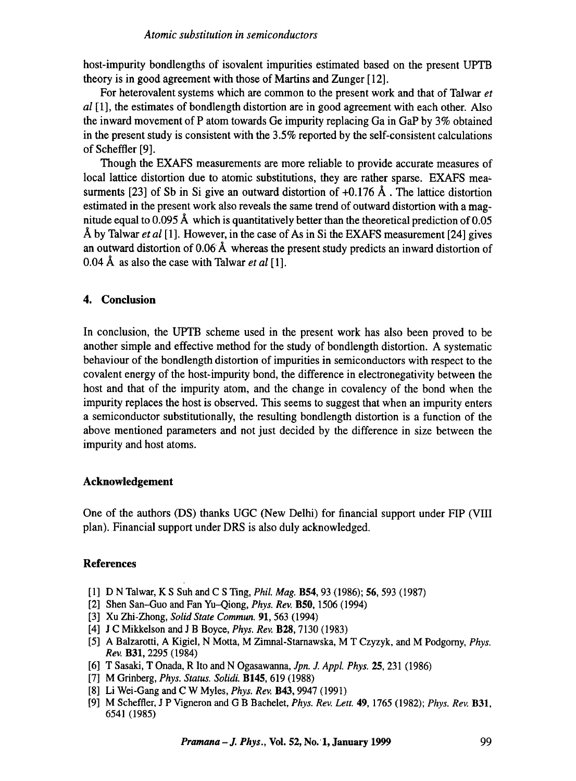#### *Atomic substitution in semiconductors*

host-impurity bondlengths of isovalent impurities estimated based on the present UPTB theory is in good agreement with those of Martins and Zunger [12].

For heterovalent systems which are common to the present work and that of Talwar *et al* [1], the estimates of bondlength distortion are in good agreement with each other. Also the inward movement of P atom towards Ge impurity replacing Ga in GaP by 3% obtained in the present study is consistent with the 3.5% reported by the self-consistent calculations of Scheffler [9].

Though the EXAFS measurements are more reliable to provide accurate measures of local lattice distortion due to atomic substitutions, they are rather sparse. EXAFS measurments [23] of Sb in Si give an outward distortion of  $+0.176 \text{ Å}$ . The lattice distortion estimated in the present work also reveals the same trend of outward distortion with a magnitude equal to 0.095 Å which is quantitatively better than the theoretical prediction of 0.05 A by Talwar *et al* [1]. However, in the case of As in Si the EXAFS measurement [24] gives an outward distortion of 0.06 Å whereas the present study predicts an inward distortion of 0.04 A as also the case with Talwar *et al* [1].

## **4. Conclusion**

In conclusion, the UPTB scheme used in the present work has also been proved to be another simple and effective method for the study of bondlength distortion. A systematic behaviour of the bondlength distortion of impurities in semiconductors with respect to the covalent energy of the host-impurity bond, the difference in electronegativity between the host and that of the impurity atom, and the change in covalency of the bond when the impurity replaces the host is observed. This seems to suggest that when an impurity enters a semiconductor substitutionally, the resulting bondlength distortion is a function of the above mentioned parameters and not just decided by the difference in size between the impurity and host atoms.

## **Acknowledgement**

One of the authors (DS) thanks UGC (New Delhi) for financial support under FIP (VIII plan). Financial support under DRS is also duly acknowledged.

## **References**

- [1] D N Talwar, K S Suh and C STing, *Phil Mag.* B54, 93 (1986); **56,** 593 (1987)
- [2] Shen San--Guo and Fan Yu-Qiong, *Phys. Rev.* B50, 1506 (1994)
- [3] Xu Zhi-Zhong, *Solid State Commun.* 91, 563 (1994)
- [4] J C Mikkelson and J B Boyce, *Phys. Rev.* B28, 7130 (1983)
- [5] A Balzarotti, A Kigiel, N Motta, M Zimnal-Starnawska, M T Czyzyk, and M Podgomy, *Phys. Rev.* B31, 2295 (1984)
- [6] T Sasaki, T Onada, R Ito and N Ogasawanna, *Jpn. J. Appl. Phys.* 25, 231 (1986)
- [7] M Grinberg, *Phys. Status. Solidi.* B145, 619 (1988)
- [8] Li Wei-Gang and C W Myles, *Phys. Rev.* B43, 9947 (1991)
- [9] M Scheffler, J P Vigneron and G B Bachelet, *Phys. Rev. Lett.* 49, 1765 (1982); *Phys. Rev.* B31, 6541 (1985)